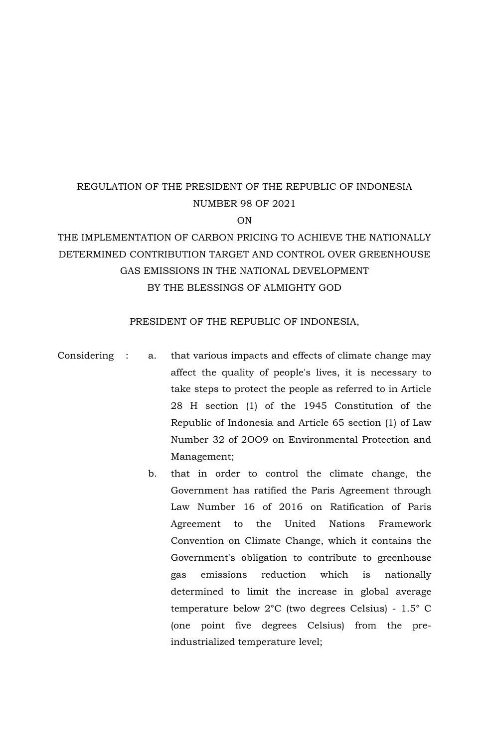# REGULATION OF THE PRESIDENT OF THE REPUBLIC OF INDONESIA NUMBER 98 OF 2021

ON

# THE IMPLEMENTATION OF CARBON PRICING TO ACHIEVE THE NATIONALLY DETERMINED CONTRIBUTION TARGET AND CONTROL OVER GREENHOUSE GAS EMISSIONS IN THE NATIONAL DEVELOPMENT BY THE BLESSINGS OF ALMIGHTY GOD

## PRESIDENT OF THE REPUBLIC OF INDONESIA,

- Considering : a. that various impacts and effects of climate change may affect the quality of people's lives, it is necessary to take steps to protect the people as referred to in Article 28 H section (1) of the 1945 Constitution of the Republic of Indonesia and Article 65 section (1) of Law Number 32 of 2OO9 on Environmental Protection and Management;
	- b. that in order to control the climate change, the Government has ratified the Paris Agreement through Law Number 16 of 2016 on Ratification of Paris Agreement to the United Nations Framework Convention on Climate Change, which it contains the Government's obligation to contribute to greenhouse gas emissions reduction which is nationally determined to limit the increase in global average temperature below 2°C (two degrees Celsius) - 1.5° C (one point five degrees Celsius) from the preindustrialized temperature level;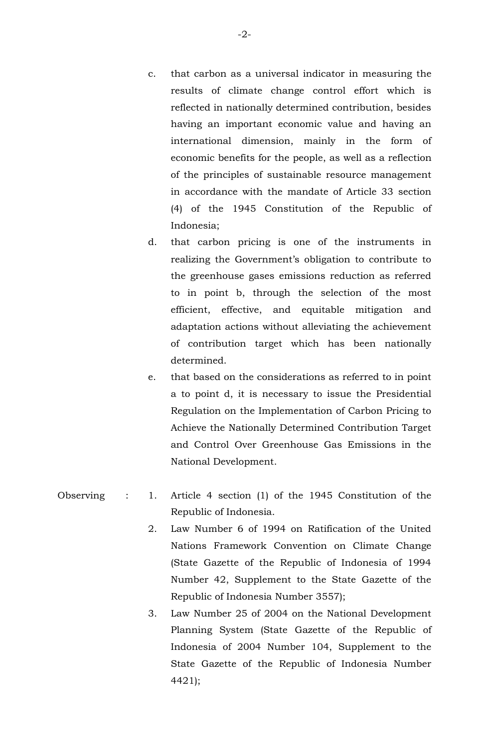- c. that carbon as a universal indicator in measuring the results of climate change control effort which is reflected in nationally determined contribution, besides having an important economic value and having an international dimension, mainly in the form of economic benefits for the people, as well as a reflection of the principles of sustainable resource management in accordance with the mandate of Article 33 section (4) of the 1945 Constitution of the Republic of Indonesia;
- d. that carbon pricing is one of the instruments in realizing the Government's obligation to contribute to the greenhouse gases emissions reduction as referred to in point b, through the selection of the most efficient, effective, and equitable mitigation and adaptation actions without alleviating the achievement of contribution target which has been nationally determined.
- e. that based on the considerations as referred to in point a to point d, it is necessary to issue the Presidential Regulation on the Implementation of Carbon Pricing to Achieve the Nationally Determined Contribution Target and Control Over Greenhouse Gas Emissions in the National Development.
- Observing : 1. Article 4 section (1) of the 1945 Constitution of the Republic of Indonesia.
	- 2. Law Number 6 of 1994 on Ratification of the United Nations Framework Convention on Climate Change (State Gazette of the Republic of Indonesia of 1994 Number 42, Supplement to the State Gazette of the Republic of Indonesia Number 3557);
	- 3. Law Number 25 of 2004 on the National Development Planning System (State Gazette of the Republic of Indonesia of 2004 Number 104, Supplement to the State Gazette of the Republic of Indonesia Number 4421);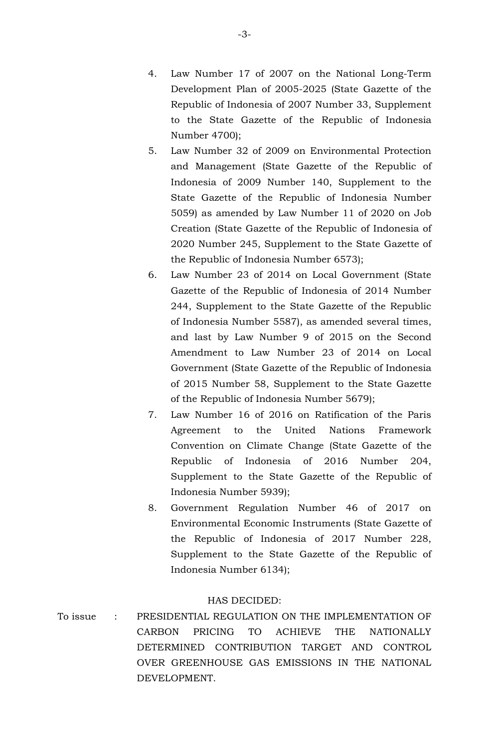- 4. Law Number 17 of 2007 on the National Long-Term Development Plan of 2005-2025 (State Gazette of the Republic of Indonesia of 2007 Number 33, Supplement to the State Gazette of the Republic of Indonesia Number 4700);
- 5. Law Number 32 of 2009 on Environmental Protection and Management (State Gazette of the Republic of Indonesia of 2009 Number 140, Supplement to the State Gazette of the Republic of Indonesia Number 5059) as amended by Law Number 11 of 2020 on Job Creation (State Gazette of the Republic of Indonesia of 2020 Number 245, Supplement to the State Gazette of the Republic of Indonesia Number 6573);
- 6. Law Number 23 of 2014 on Local Government (State Gazette of the Republic of Indonesia of 2014 Number 244, Supplement to the State Gazette of the Republic of Indonesia Number 5587), as amended several times, and last by Law Number 9 of 2015 on the Second Amendment to Law Number 23 of 2014 on Local Government (State Gazette of the Republic of Indonesia of 2015 Number 58, Supplement to the State Gazette of the Republic of Indonesia Number 5679);
- 7. Law Number 16 of 2016 on Ratification of the Paris Agreement to the United Nations Framework Convention on Climate Change (State Gazette of the Republic of Indonesia of 2016 Number 204, Supplement to the State Gazette of the Republic of Indonesia Number 5939);
- 8. Government Regulation Number 46 of 2017 on Environmental Economic Instruments (State Gazette of the Republic of Indonesia of 2017 Number 228, Supplement to the State Gazette of the Republic of Indonesia Number 6134);

#### HAS DECIDED:

To issue : PRESIDENTIAL REGULATION ON THE IMPLEMENTATION OF CARBON PRICING TO ACHIEVE THE NATIONALLY DETERMINED CONTRIBUTION TARGET AND CONTROL OVER GREENHOUSE GAS EMISSIONS IN THE NATIONAL DEVELOPMENT.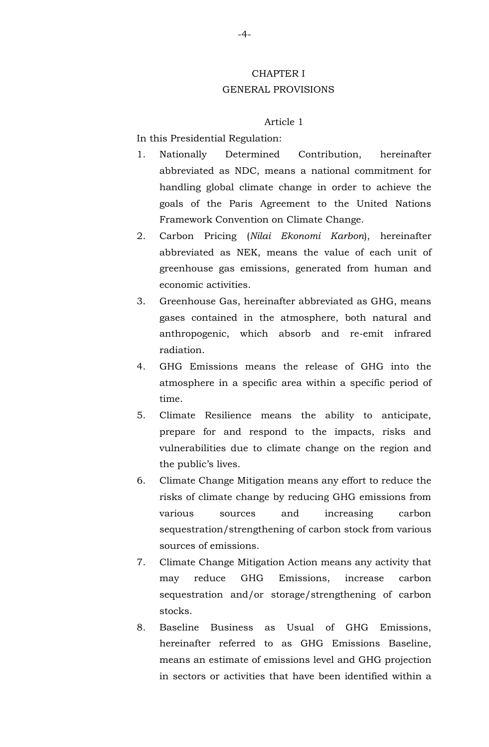## CHAPTER I GENERAL PROVISIONS

#### Article 1

In this Presidential Regulation:

- 1. Nationally Determined Contribution, hereinafter abbreviated as NDC, means a national commitment for handling global climate change in order to achieve the goals of the Paris Agreement to the United Nations Framework Convention on Climate Change.
- 2. Carbon Pricing (*Nilai Ekonomi Karbon*), hereinafter abbreviated as NEK, means the value of each unit of greenhouse gas emissions, generated from human and economic activities.
- 3. Greenhouse Gas, hereinafter abbreviated as GHG, means gases contained in the atmosphere, both natural and anthropogenic, which absorb and re-emit infrared radiation.
- 4. GHG Emissions means the release of GHG into the atmosphere in a specific area within a specific period of time.
- 5. Climate Resilience means the ability to anticipate, prepare for and respond to the impacts, risks and vulnerabilities due to climate change on the region and the public's lives.
- 6. Climate Change Mitigation means any effort to reduce the risks of climate change by reducing GHG emissions from various sources and increasing carbon sequestration/strengthening of carbon stock from various sources of emissions.
- 7. Climate Change Mitigation Action means any activity that may reduce GHG Emissions, increase carbon sequestration and/or storage/strengthening of carbon stocks.
- 8. Baseline Business as Usual of GHG Emissions, hereinafter referred to as GHG Emissions Baseline, means an estimate of emissions level and GHG projection in sectors or activities that have been identified within a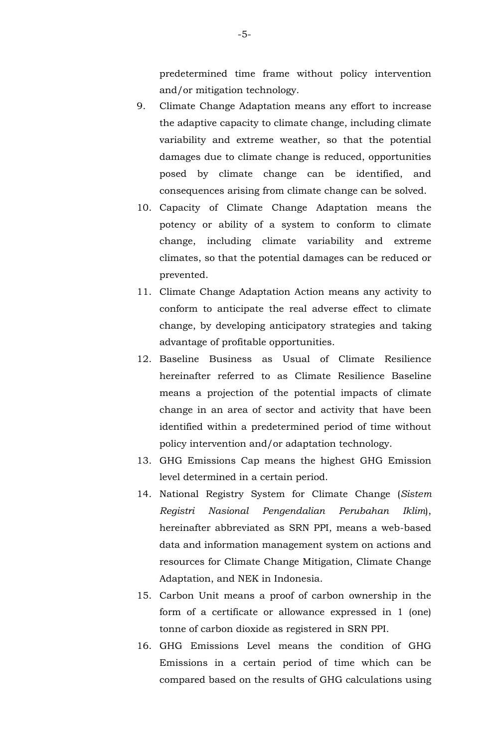predetermined time frame without policy intervention and/or mitigation technology.

- 9. Climate Change Adaptation means any effort to increase the adaptive capacity to climate change, including climate variability and extreme weather, so that the potential damages due to climate change is reduced, opportunities posed by climate change can be identified, and consequences arising from climate change can be solved.
- 10. Capacity of Climate Change Adaptation means the potency or ability of a system to conform to climate change, including climate variability and extreme climates, so that the potential damages can be reduced or prevented.
- 11. Climate Change Adaptation Action means any activity to conform to anticipate the real adverse effect to climate change, by developing anticipatory strategies and taking advantage of profitable opportunities.
- 12. Baseline Business as Usual of Climate Resilience hereinafter referred to as Climate Resilience Baseline means a projection of the potential impacts of climate change in an area of sector and activity that have been identified within a predetermined period of time without policy intervention and/or adaptation technology.
- 13. GHG Emissions Cap means the highest GHG Emission level determined in a certain period.
- 14. National Registry System for Climate Change (*Sistem Registri Nasional Pengendalian Perubahan Iklim*), hereinafter abbreviated as SRN PPI, means a web-based data and information management system on actions and resources for Climate Change Mitigation, Climate Change Adaptation, and NEK in Indonesia.
- 15. Carbon Unit means a proof of carbon ownership in the form of a certificate or allowance expressed in 1 (one) tonne of carbon dioxide as registered in SRN PPI.
- 16. GHG Emissions Level means the condition of GHG Emissions in a certain period of time which can be compared based on the results of GHG calculations using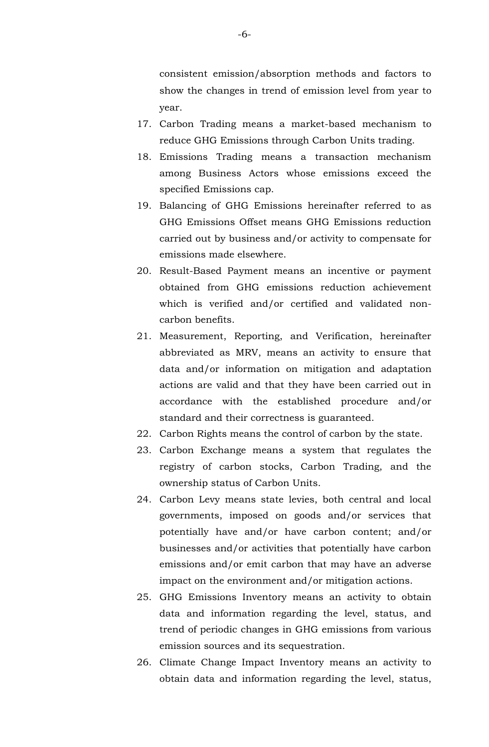consistent emission/absorption methods and factors to show the changes in trend of emission level from year to year.

- 17. Carbon Trading means a market-based mechanism to reduce GHG Emissions through Carbon Units trading.
- 18. Emissions Trading means a transaction mechanism among Business Actors whose emissions exceed the specified Emissions cap.
- 19. Balancing of GHG Emissions hereinafter referred to as GHG Emissions Offset means GHG Emissions reduction carried out by business and/or activity to compensate for emissions made elsewhere.
- 20. Result-Based Payment means an incentive or payment obtained from GHG emissions reduction achievement which is verified and/or certified and validated noncarbon benefits.
- 21. Measurement, Reporting, and Verification, hereinafter abbreviated as MRV, means an activity to ensure that data and/or information on mitigation and adaptation actions are valid and that they have been carried out in accordance with the established procedure and/or standard and their correctness is guaranteed.
- 22. Carbon Rights means the control of carbon by the state.
- 23. Carbon Exchange means a system that regulates the registry of carbon stocks, Carbon Trading, and the ownership status of Carbon Units.
- 24. Carbon Levy means state levies, both central and local governments, imposed on goods and/or services that potentially have and/or have carbon content; and/or businesses and/or activities that potentially have carbon emissions and/or emit carbon that may have an adverse impact on the environment and/or mitigation actions.
- 25. GHG Emissions Inventory means an activity to obtain data and information regarding the level, status, and trend of periodic changes in GHG emissions from various emission sources and its sequestration.
- 26. Climate Change Impact Inventory means an activity to obtain data and information regarding the level, status,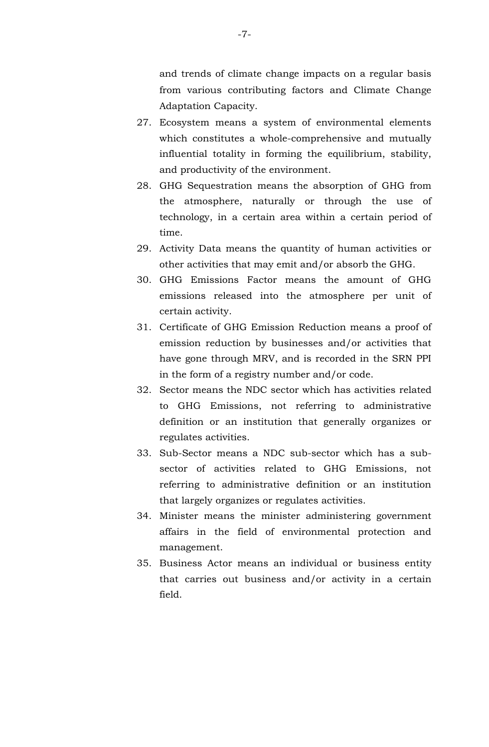and trends of climate change impacts on a regular basis from various contributing factors and Climate Change Adaptation Capacity.

- 27. Ecosystem means a system of environmental elements which constitutes a whole-comprehensive and mutually influential totality in forming the equilibrium, stability, and productivity of the environment.
- 28. GHG Sequestration means the absorption of GHG from the atmosphere, naturally or through the use of technology, in a certain area within a certain period of time.
- 29. Activity Data means the quantity of human activities or other activities that may emit and/or absorb the GHG.
- 30. GHG Emissions Factor means the amount of GHG emissions released into the atmosphere per unit of certain activity.
- 31. Certificate of GHG Emission Reduction means a proof of emission reduction by businesses and/or activities that have gone through MRV, and is recorded in the SRN PPI in the form of a registry number and/or code.
- 32. Sector means the NDC sector which has activities related to GHG Emissions, not referring to administrative definition or an institution that generally organizes or regulates activities.
- 33. Sub-Sector means a NDC sub-sector which has a subsector of activities related to GHG Emissions, not referring to administrative definition or an institution that largely organizes or regulates activities.
- 34. Minister means the minister administering government affairs in the field of environmental protection and management.
- 35. Business Actor means an individual or business entity that carries out business and/or activity in a certain field.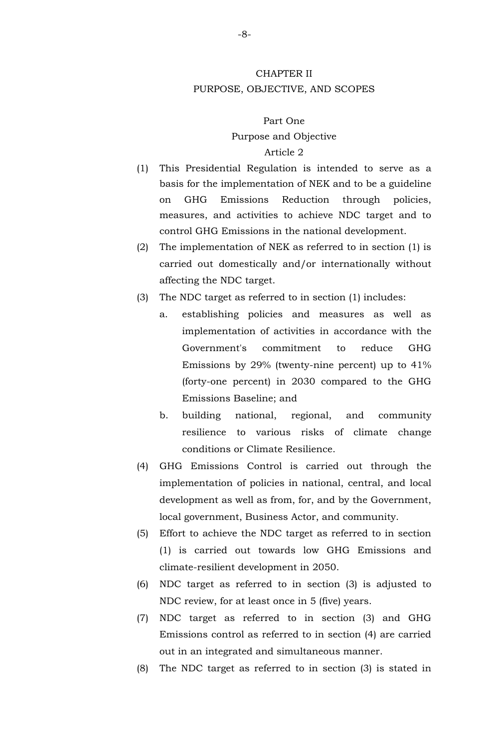## CHAPTER II PURPOSE, OBJECTIVE, AND SCOPES

#### Part One

#### Purpose and Objective

- (1) This Presidential Regulation is intended to serve as a basis for the implementation of NEK and to be a guideline on GHG Emissions Reduction through policies, measures, and activities to achieve NDC target and to control GHG Emissions in the national development.
- (2) The implementation of NEK as referred to in section (1) is carried out domestically and/or internationally without affecting the NDC target.
- (3) The NDC target as referred to in section (1) includes:
	- a. establishing policies and measures as well as implementation of activities in accordance with the Government's commitment to reduce GHG Emissions by 29% (twenty-nine percent) up to 41% (forty-one percent) in 2030 compared to the GHG Emissions Baseline; and
	- b. building national, regional, and community resilience to various risks of climate change conditions or Climate Resilience.
- (4) GHG Emissions Control is carried out through the implementation of policies in national, central, and local development as well as from, for, and by the Government, local government, Business Actor, and community.
- (5) Effort to achieve the NDC target as referred to in section (1) is carried out towards low GHG Emissions and climate-resilient development in 2050.
- (6) NDC target as referred to in section (3) is adjusted to NDC review, for at least once in 5 (five) years.
- (7) NDC target as referred to in section (3) and GHG Emissions control as referred to in section (4) are carried out in an integrated and simultaneous manner.
- (8) The NDC target as referred to in section (3) is stated in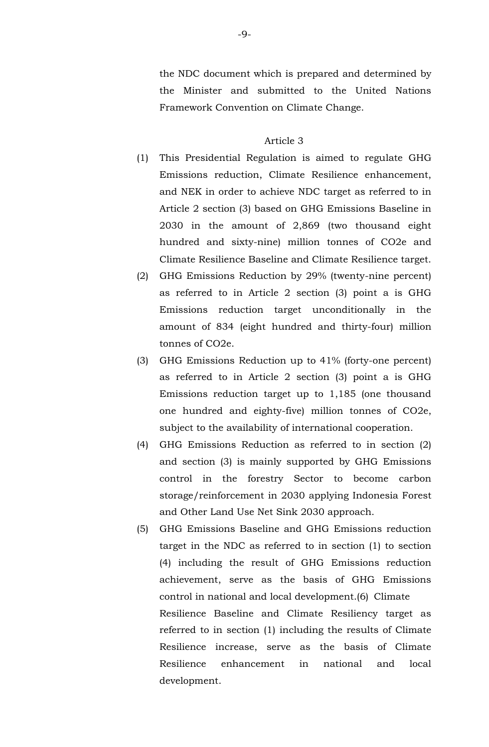the NDC document which is prepared and determined by the Minister and submitted to the United Nations Framework Convention on Climate Change.

- (1) This Presidential Regulation is aimed to regulate GHG Emissions reduction, Climate Resilience enhancement, and NEK in order to achieve NDC target as referred to in Article 2 section (3) based on GHG Emissions Baseline in 2030 in the amount of 2,869 (two thousand eight hundred and sixty-nine) million tonnes of CO2e and Climate Resilience Baseline and Climate Resilience target.
- (2) GHG Emissions Reduction by 29% (twenty-nine percent) as referred to in Article 2 section (3) point a is GHG Emissions reduction target unconditionally in the amount of 834 (eight hundred and thirty-four) million tonnes of CO2e.
- (3) GHG Emissions Reduction up to 41% (forty-one percent) as referred to in Article 2 section (3) point a is GHG Emissions reduction target up to 1,185 (one thousand one hundred and eighty-five) million tonnes of CO2e, subject to the availability of international cooperation.
- (4) GHG Emissions Reduction as referred to in section (2) and section (3) is mainly supported by GHG Emissions control in the forestry Sector to become carbon storage/reinforcement in 2030 applying Indonesia Forest and Other Land Use Net Sink 2030 approach.
- (5) GHG Emissions Baseline and GHG Emissions reduction target in the NDC as referred to in section (1) to section (4) including the result of GHG Emissions reduction achievement, serve as the basis of GHG Emissions control in national and local development.(6) Climate Resilience Baseline and Climate Resiliency target as referred to in section (1) including the results of Climate Resilience increase, serve as the basis of Climate Resilience enhancement in national and local development.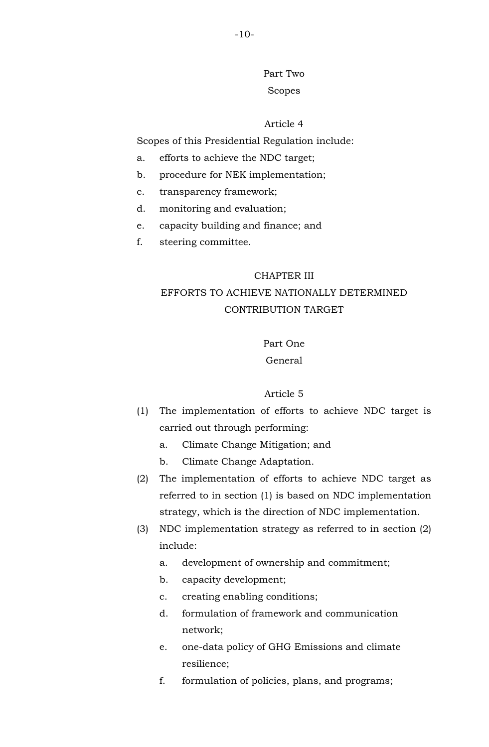Part Two Scopes

#### Article 4

Scopes of this Presidential Regulation include:

- a. efforts to achieve the NDC target;
- b. procedure for NEK implementation;
- c. transparency framework;
- d. monitoring and evaluation;
- e. capacity building and finance; and
- f. steering committee.

#### CHAPTER III

## EFFORTS TO ACHIEVE NATIONALLY DETERMINED CONTRIBUTION TARGET

## Part One

## General

- (1) The implementation of efforts to achieve NDC target is carried out through performing:
	- a. Climate Change Mitigation; and
	- b. Climate Change Adaptation.
- (2) The implementation of efforts to achieve NDC target as referred to in section (1) is based on NDC implementation strategy, which is the direction of NDC implementation.
- (3) NDC implementation strategy as referred to in section (2) include:
	- a. development of ownership and commitment;
	- b. capacity development;
	- c. creating enabling conditions;
	- d. formulation of framework and communication network;
	- e. one-data policy of GHG Emissions and climate resilience;
	- f. formulation of policies, plans, and programs;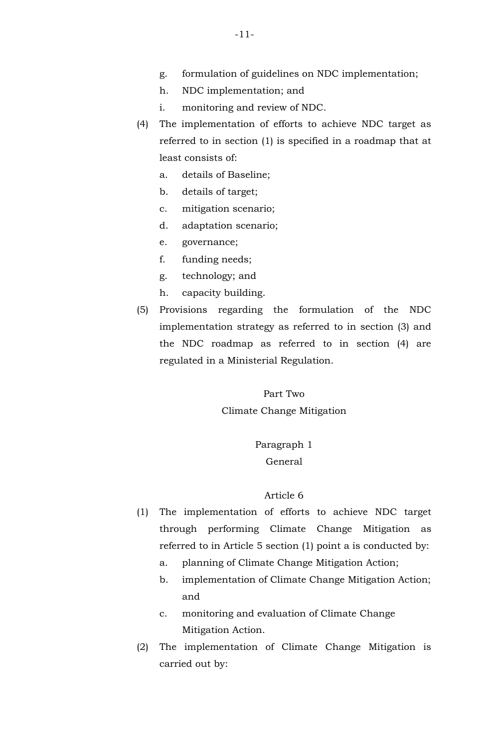- g. formulation of guidelines on NDC implementation;
- h. NDC implementation; and
- i. monitoring and review of NDC.
- (4) The implementation of efforts to achieve NDC target as referred to in section (1) is specified in a roadmap that at least consists of:
	- a. details of Baseline;
	- b. details of target;
	- c. mitigation scenario;
	- d. adaptation scenario;
	- e. governance;
	- f. funding needs;
	- g. technology; and
	- h. capacity building.
- (5) Provisions regarding the formulation of the NDC implementation strategy as referred to in section (3) and the NDC roadmap as referred to in section (4) are regulated in a Ministerial Regulation.

Part Two Climate Change Mitigation

> Paragraph 1 General

- (1) The implementation of efforts to achieve NDC target through performing Climate Change Mitigation as referred to in Article 5 section (1) point a is conducted by:
	- a. planning of Climate Change Mitigation Action;
	- b. implementation of Climate Change Mitigation Action; and
	- c. monitoring and evaluation of Climate Change Mitigation Action.
- (2) The implementation of Climate Change Mitigation is carried out by: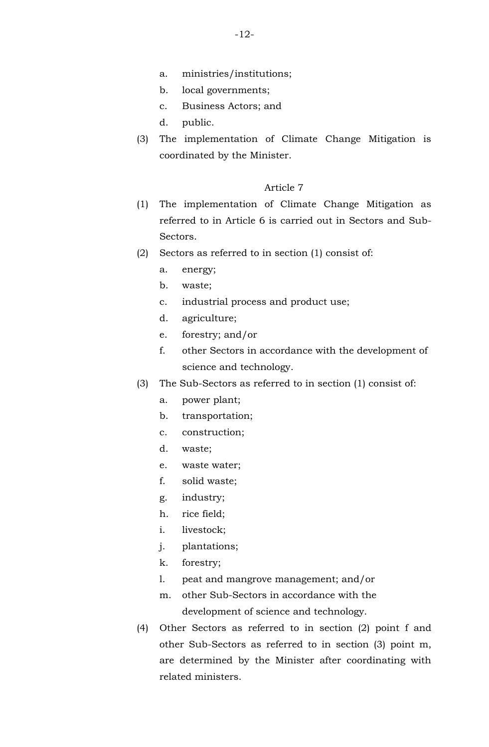- a. ministries/institutions;
- b. local governments;
- c. Business Actors; and
- d. public.
- (3) The implementation of Climate Change Mitigation is coordinated by the Minister.

- (1) The implementation of Climate Change Mitigation as referred to in Article 6 is carried out in Sectors and Sub-Sectors.
- (2) Sectors as referred to in section (1) consist of:
	- a. energy;
	- b. waste;
	- c. industrial process and product use;
	- d. agriculture;
	- e. forestry; and/or
	- f. other Sectors in accordance with the development of science and technology.
- (3) The Sub-Sectors as referred to in section (1) consist of:
	- a. power plant;
	- b. transportation;
	- c. construction;
	- d. waste;
	- e. waste water;
	- f. solid waste;
	- g. industry;
	- h. rice field;
	- i. livestock;
	- j. plantations;
	- k. forestry;
	- l. peat and mangrove management; and/or
	- m. other Sub-Sectors in accordance with the development of science and technology.
- (4) Other Sectors as referred to in section (2) point f and other Sub-Sectors as referred to in section (3) point m, are determined by the Minister after coordinating with related ministers.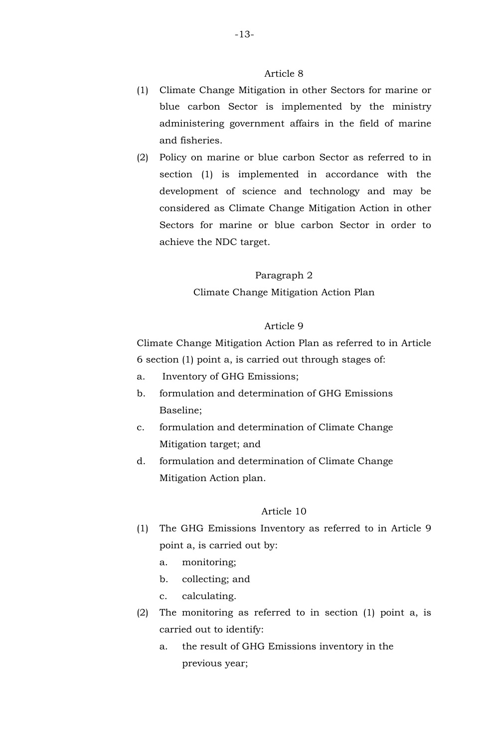- (1) Climate Change Mitigation in other Sectors for marine or blue carbon Sector is implemented by the ministry administering government affairs in the field of marine and fisheries.
- (2) Policy on marine or blue carbon Sector as referred to in section (1) is implemented in accordance with the development of science and technology and may be considered as Climate Change Mitigation Action in other Sectors for marine or blue carbon Sector in order to achieve the NDC target.

#### Paragraph 2

Climate Change Mitigation Action Plan

## Article 9

Climate Change Mitigation Action Plan as referred to in Article 6 section (1) point a, is carried out through stages of:

- a. Inventory of GHG Emissions;
- b. formulation and determination of GHG Emissions Baseline;
- c. formulation and determination of Climate Change Mitigation target; and
- d. formulation and determination of Climate Change Mitigation Action plan.

- (1) The GHG Emissions Inventory as referred to in Article 9 point a, is carried out by:
	- a. monitoring;
	- b. collecting; and
	- c. calculating.
- (2) The monitoring as referred to in section (1) point a, is carried out to identify:
	- a. the result of GHG Emissions inventory in the previous year;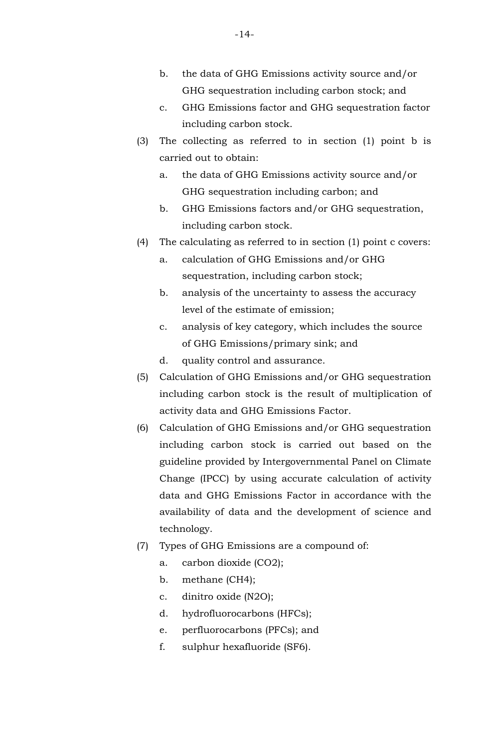- b. the data of GHG Emissions activity source and/or GHG sequestration including carbon stock; and
- c. GHG Emissions factor and GHG sequestration factor including carbon stock.
- (3) The collecting as referred to in section (1) point b is carried out to obtain:
	- a. the data of GHG Emissions activity source and/or GHG sequestration including carbon; and
	- b. GHG Emissions factors and/or GHG sequestration, including carbon stock.
- (4) The calculating as referred to in section (1) point c covers:
	- a. calculation of GHG Emissions and/or GHG sequestration, including carbon stock;
	- b. analysis of the uncertainty to assess the accuracy level of the estimate of emission;
	- c. analysis of key category, which includes the source of GHG Emissions/primary sink; and
	- d. quality control and assurance.
- (5) Calculation of GHG Emissions and/or GHG sequestration including carbon stock is the result of multiplication of activity data and GHG Emissions Factor.
- (6) Calculation of GHG Emissions and/or GHG sequestration including carbon stock is carried out based on the guideline provided by Intergovernmental Panel on Climate Change (IPCC) by using accurate calculation of activity data and GHG Emissions Factor in accordance with the availability of data and the development of science and technology.
- (7) Types of GHG Emissions are a compound of:
	- a. carbon dioxide (CO2);
	- b. methane (CH4);
	- c. dinitro oxide (N2O);
	- d. hydrofluorocarbons (HFCs);
	- e. perfluorocarbons (PFCs); and
	- f. sulphur hexafluoride (SF6).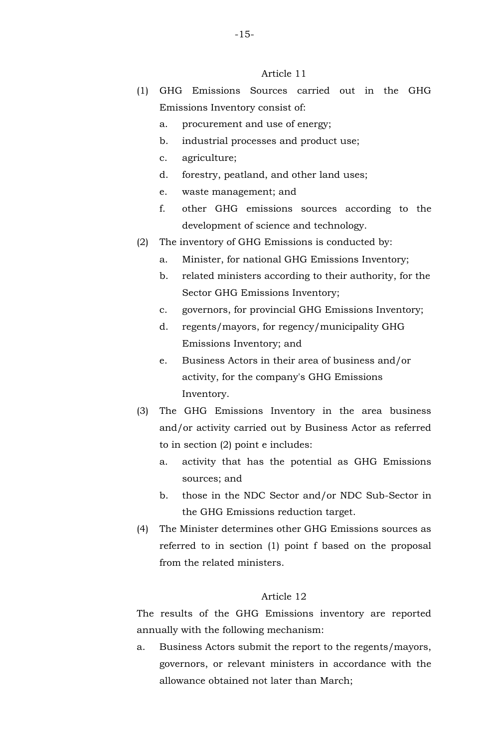- (1) GHG Emissions Sources carried out in the GHG Emissions Inventory consist of:
	- a. procurement and use of energy;
	- b. industrial processes and product use;
	- c. agriculture;
	- d. forestry, peatland, and other land uses;
	- e. waste management; and
	- f. other GHG emissions sources according to the development of science and technology.
- (2) The inventory of GHG Emissions is conducted by:
	- a. Minister, for national GHG Emissions Inventory;
	- b. related ministers according to their authority, for the Sector GHG Emissions Inventory;
	- c. governors, for provincial GHG Emissions Inventory;
	- d. regents/mayors, for regency/municipality GHG Emissions Inventory; and
	- e. Business Actors in their area of business and/or activity, for the company's GHG Emissions Inventory.
- (3) The GHG Emissions Inventory in the area business and/or activity carried out by Business Actor as referred to in section (2) point e includes:
	- a. activity that has the potential as GHG Emissions sources; and
	- b. those in the NDC Sector and/or NDC Sub-Sector in the GHG Emissions reduction target.
- (4) The Minister determines other GHG Emissions sources as referred to in section (1) point f based on the proposal from the related ministers.

### Article 12

The results of the GHG Emissions inventory are reported annually with the following mechanism:

a. Business Actors submit the report to the regents/mayors, governors, or relevant ministers in accordance with the allowance obtained not later than March;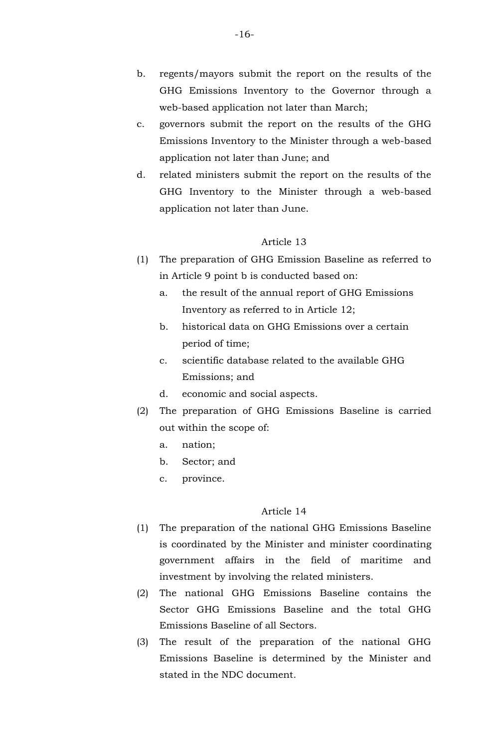- b. regents/mayors submit the report on the results of the GHG Emissions Inventory to the Governor through a web-based application not later than March;
- c. governors submit the report on the results of the GHG Emissions Inventory to the Minister through a web-based application not later than June; and
- d. related ministers submit the report on the results of the GHG Inventory to the Minister through a web-based application not later than June.

- (1) The preparation of GHG Emission Baseline as referred to in Article 9 point b is conducted based on:
	- a. the result of the annual report of GHG Emissions Inventory as referred to in Article 12;
	- b. historical data on GHG Emissions over a certain period of time;
	- c. scientific database related to the available GHG Emissions; and
	- d. economic and social aspects.
- (2) The preparation of GHG Emissions Baseline is carried out within the scope of:
	- a. nation;
	- b. Sector; and
	- c. province.

- (1) The preparation of the national GHG Emissions Baseline is coordinated by the Minister and minister coordinating government affairs in the field of maritime and investment by involving the related ministers.
- (2) The national GHG Emissions Baseline contains the Sector GHG Emissions Baseline and the total GHG Emissions Baseline of all Sectors.
- (3) The result of the preparation of the national GHG Emissions Baseline is determined by the Minister and stated in the NDC document.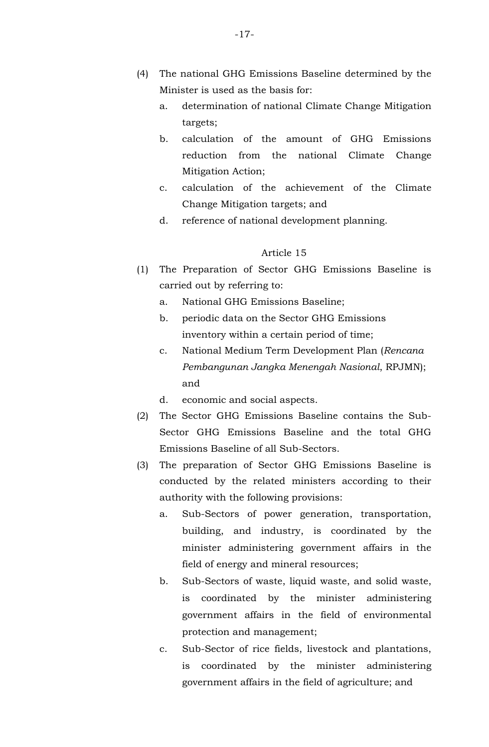- (4) The national GHG Emissions Baseline determined by the Minister is used as the basis for:
	- a. determination of national Climate Change Mitigation targets;
	- b. calculation of the amount of GHG Emissions reduction from the national Climate Change Mitigation Action;
	- c. calculation of the achievement of the Climate Change Mitigation targets; and
	- d. reference of national development planning.

- (1) The Preparation of Sector GHG Emissions Baseline is carried out by referring to:
	- a. National GHG Emissions Baseline;
	- b. periodic data on the Sector GHG Emissions inventory within a certain period of time;
	- c. National Medium Term Development Plan (*Rencana Pembangunan Jangka Menengah Nasional*, RPJMN); and
	- d. economic and social aspects.
- (2) The Sector GHG Emissions Baseline contains the Sub-Sector GHG Emissions Baseline and the total GHG Emissions Baseline of all Sub-Sectors.
- (3) The preparation of Sector GHG Emissions Baseline is conducted by the related ministers according to their authority with the following provisions:
	- a. Sub-Sectors of power generation, transportation, building, and industry, is coordinated by the minister administering government affairs in the field of energy and mineral resources;
	- b. Sub-Sectors of waste, liquid waste, and solid waste, is coordinated by the minister administering government affairs in the field of environmental protection and management;
	- c. Sub-Sector of rice fields, livestock and plantations, is coordinated by the minister administering government affairs in the field of agriculture; and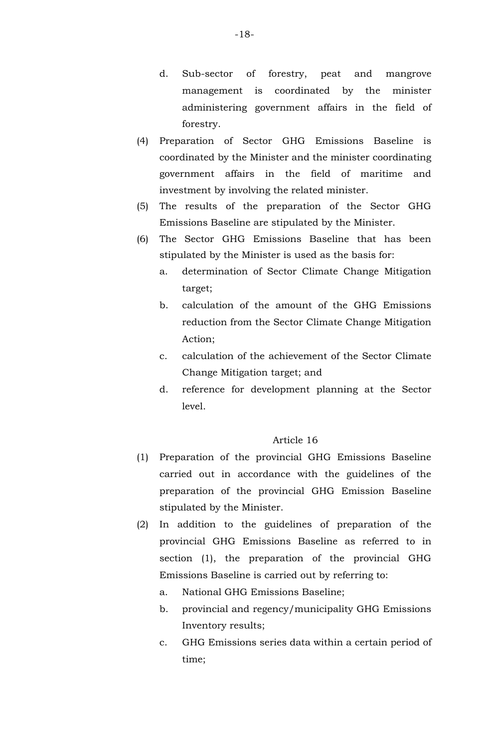- d. Sub-sector of forestry, peat and mangrove management is coordinated by the minister administering government affairs in the field of forestry.
- (4) Preparation of Sector GHG Emissions Baseline is coordinated by the Minister and the minister coordinating government affairs in the field of maritime and investment by involving the related minister.
- (5) The results of the preparation of the Sector GHG Emissions Baseline are stipulated by the Minister.
- (6) The Sector GHG Emissions Baseline that has been stipulated by the Minister is used as the basis for:
	- a. determination of Sector Climate Change Mitigation target;
	- b. calculation of the amount of the GHG Emissions reduction from the Sector Climate Change Mitigation Action;
	- c. calculation of the achievement of the Sector Climate Change Mitigation target; and
	- d. reference for development planning at the Sector level.

- (1) Preparation of the provincial GHG Emissions Baseline carried out in accordance with the guidelines of the preparation of the provincial GHG Emission Baseline stipulated by the Minister.
- (2) In addition to the guidelines of preparation of the provincial GHG Emissions Baseline as referred to in section (1), the preparation of the provincial GHG Emissions Baseline is carried out by referring to:
	- a. National GHG Emissions Baseline;
	- b. provincial and regency/municipality GHG Emissions Inventory results;
	- c. GHG Emissions series data within a certain period of time;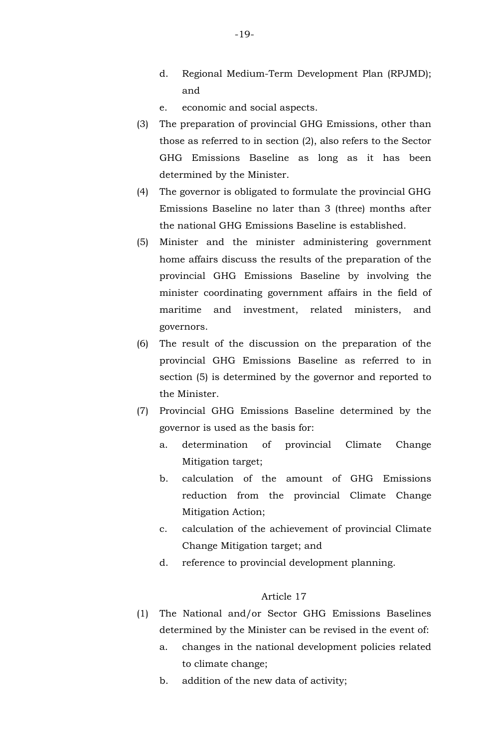- d. Regional Medium-Term Development Plan (RPJMD); and
- e. economic and social aspects.
- (3) The preparation of provincial GHG Emissions, other than those as referred to in section (2), also refers to the Sector GHG Emissions Baseline as long as it has been determined by the Minister.
- (4) The governor is obligated to formulate the provincial GHG Emissions Baseline no later than 3 (three) months after the national GHG Emissions Baseline is established.
- (5) Minister and the minister administering government home affairs discuss the results of the preparation of the provincial GHG Emissions Baseline by involving the minister coordinating government affairs in the field of maritime and investment, related ministers, and governors.
- (6) The result of the discussion on the preparation of the provincial GHG Emissions Baseline as referred to in section (5) is determined by the governor and reported to the Minister.
- (7) Provincial GHG Emissions Baseline determined by the governor is used as the basis for:
	- a. determination of provincial Climate Change Mitigation target;
	- b. calculation of the amount of GHG Emissions reduction from the provincial Climate Change Mitigation Action;
	- c. calculation of the achievement of provincial Climate Change Mitigation target; and
	- d. reference to provincial development planning.

- (1) The National and/or Sector GHG Emissions Baselines determined by the Minister can be revised in the event of:
	- a. changes in the national development policies related to climate change;
	- b. addition of the new data of activity;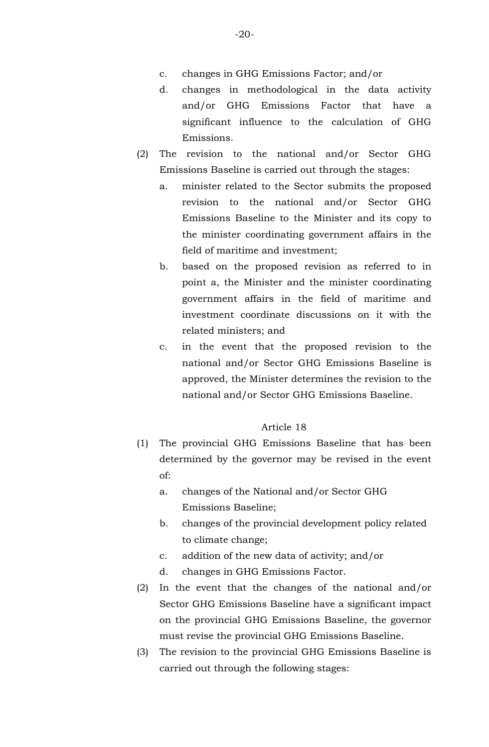- c. changes in GHG Emissions Factor; and/or
- d. changes in methodological in the data activity and/or GHG Emissions Factor that have a significant influence to the calculation of GHG Emissions.
- (2) The revision to the national and/or Sector GHG Emissions Baseline is carried out through the stages:
	- a. minister related to the Sector submits the proposed revision to the national and/or Sector GHG Emissions Baseline to the Minister and its copy to the minister coordinating government affairs in the field of maritime and investment;
	- b. based on the proposed revision as referred to in point a, the Minister and the minister coordinating government affairs in the field of maritime and investment coordinate discussions on it with the related ministers; and
	- c. in the event that the proposed revision to the national and/or Sector GHG Emissions Baseline is approved, the Minister determines the revision to the national and/or Sector GHG Emissions Baseline.

- (1) The provincial GHG Emissions Baseline that has been determined by the governor may be revised in the event of:
	- a. changes of the National and/or Sector GHG Emissions Baseline;
	- b. changes of the provincial development policy related to climate change;
	- c. addition of the new data of activity; and/or
	- d. changes in GHG Emissions Factor.
- (2) In the event that the changes of the national and/or Sector GHG Emissions Baseline have a significant impact on the provincial GHG Emissions Baseline, the governor must revise the provincial GHG Emissions Baseline.
- (3) The revision to the provincial GHG Emissions Baseline is carried out through the following stages: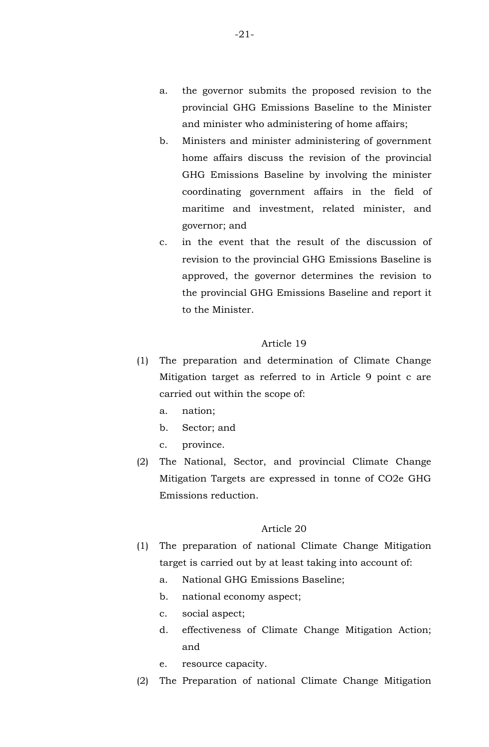- b. Ministers and minister administering of government home affairs discuss the revision of the provincial GHG Emissions Baseline by involving the minister coordinating government affairs in the field of maritime and investment, related minister, and governor; and
- c. in the event that the result of the discussion of revision to the provincial GHG Emissions Baseline is approved, the governor determines the revision to the provincial GHG Emissions Baseline and report it to the Minister.

- (1) The preparation and determination of Climate Change Mitigation target as referred to in Article 9 point c are carried out within the scope of:
	- a. nation;
	- b. Sector; and
	- c. province.
- (2) The National, Sector, and provincial Climate Change Mitigation Targets are expressed in tonne of CO2e GHG Emissions reduction.

- (1) The preparation of national Climate Change Mitigation target is carried out by at least taking into account of:
	- a. National GHG Emissions Baseline;
	- b. national economy aspect;
	- c. social aspect;
	- d. effectiveness of Climate Change Mitigation Action; and
	- e. resource capacity.
- (2) The Preparation of national Climate Change Mitigation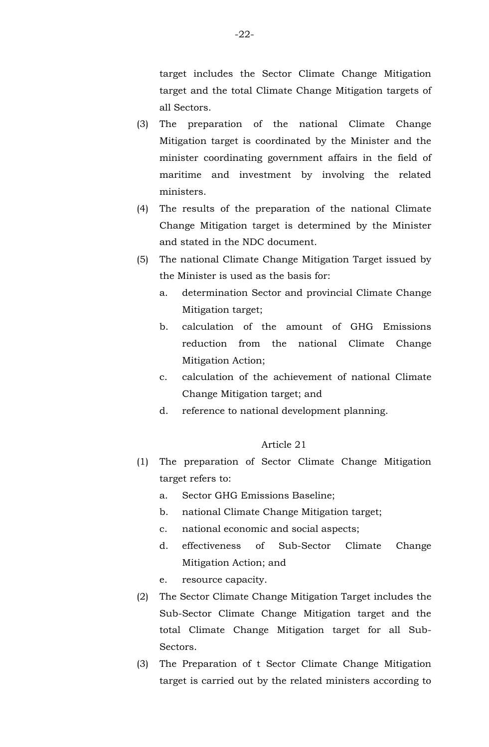target includes the Sector Climate Change Mitigation target and the total Climate Change Mitigation targets of all Sectors.

- (3) The preparation of the national Climate Change Mitigation target is coordinated by the Minister and the minister coordinating government affairs in the field of maritime and investment by involving the related ministers.
- (4) The results of the preparation of the national Climate Change Mitigation target is determined by the Minister and stated in the NDC document.
- (5) The national Climate Change Mitigation Target issued by the Minister is used as the basis for:
	- a. determination Sector and provincial Climate Change Mitigation target;
	- b. calculation of the amount of GHG Emissions reduction from the national Climate Change Mitigation Action;
	- c. calculation of the achievement of national Climate Change Mitigation target; and
	- d. reference to national development planning.

- (1) The preparation of Sector Climate Change Mitigation target refers to:
	- a. Sector GHG Emissions Baseline;
	- b. national Climate Change Mitigation target;
	- c. national economic and social aspects;
	- d. effectiveness of Sub-Sector Climate Change Mitigation Action; and
	- e. resource capacity.
- (2) The Sector Climate Change Mitigation Target includes the Sub-Sector Climate Change Mitigation target and the total Climate Change Mitigation target for all Sub-Sectors.
- (3) The Preparation of t Sector Climate Change Mitigation target is carried out by the related ministers according to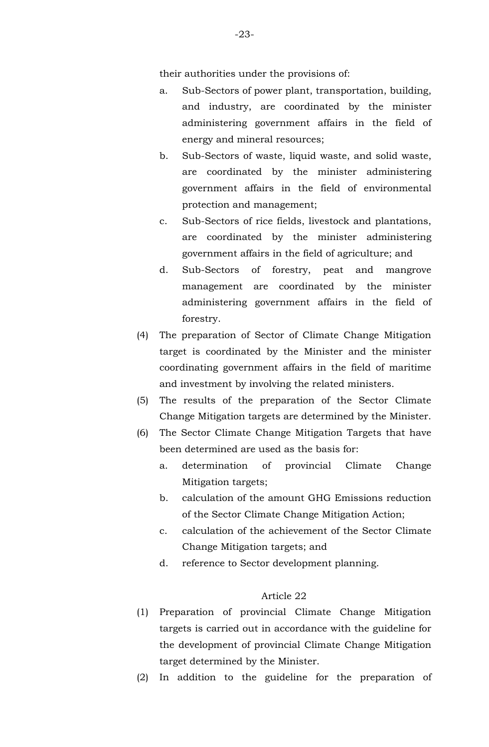their authorities under the provisions of:

- a. Sub-Sectors of power plant, transportation, building, and industry, are coordinated by the minister administering government affairs in the field of energy and mineral resources;
- b. Sub-Sectors of waste, liquid waste, and solid waste, are coordinated by the minister administering government affairs in the field of environmental protection and management;
- c. Sub-Sectors of rice fields, livestock and plantations, are coordinated by the minister administering government affairs in the field of agriculture; and
- d. Sub-Sectors of forestry, peat and mangrove management are coordinated by the minister administering government affairs in the field of forestry.
- (4) The preparation of Sector of Climate Change Mitigation target is coordinated by the Minister and the minister coordinating government affairs in the field of maritime and investment by involving the related ministers.
- (5) The results of the preparation of the Sector Climate Change Mitigation targets are determined by the Minister.
- (6) The Sector Climate Change Mitigation Targets that have been determined are used as the basis for:
	- a. determination of provincial Climate Change Mitigation targets;
	- b. calculation of the amount GHG Emissions reduction of the Sector Climate Change Mitigation Action;
	- c. calculation of the achievement of the Sector Climate Change Mitigation targets; and
	- d. reference to Sector development planning.

- (1) Preparation of provincial Climate Change Mitigation targets is carried out in accordance with the guideline for the development of provincial Climate Change Mitigation target determined by the Minister.
- (2) In addition to the guideline for the preparation of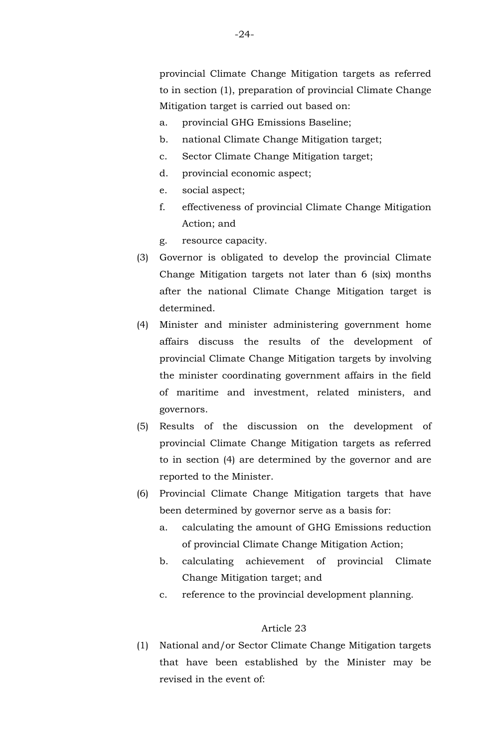provincial Climate Change Mitigation targets as referred to in section (1), preparation of provincial Climate Change Mitigation target is carried out based on:

- a. provincial GHG Emissions Baseline;
- b. national Climate Change Mitigation target;
- c. Sector Climate Change Mitigation target;
- d. provincial economic aspect;
- e. social aspect;
- f. effectiveness of provincial Climate Change Mitigation Action; and
- g. resource capacity.
- (3) Governor is obligated to develop the provincial Climate Change Mitigation targets not later than 6 (six) months after the national Climate Change Mitigation target is determined.
- (4) Minister and minister administering government home affairs discuss the results of the development of provincial Climate Change Mitigation targets by involving the minister coordinating government affairs in the field of maritime and investment, related ministers, and governors.
- (5) Results of the discussion on the development of provincial Climate Change Mitigation targets as referred to in section (4) are determined by the governor and are reported to the Minister.
- (6) Provincial Climate Change Mitigation targets that have been determined by governor serve as a basis for:
	- a. calculating the amount of GHG Emissions reduction of provincial Climate Change Mitigation Action;
	- b. calculating achievement of provincial Climate Change Mitigation target; and
	- c. reference to the provincial development planning.

#### Article 23

(1) National and/or Sector Climate Change Mitigation targets that have been established by the Minister may be revised in the event of: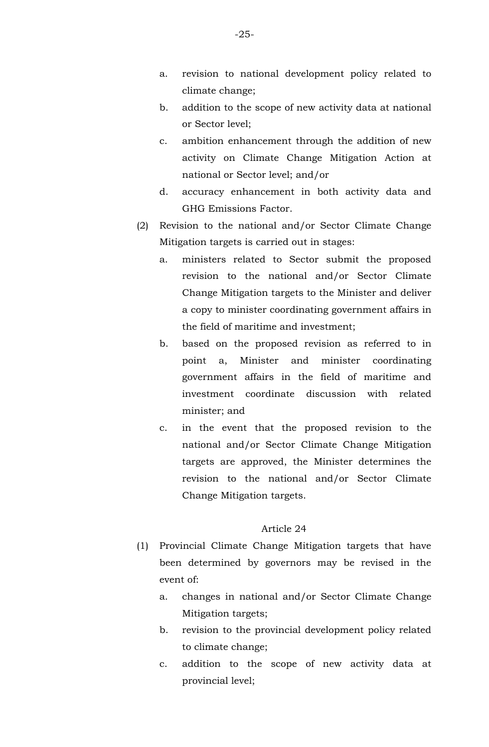- a. revision to national development policy related to climate change;
- b. addition to the scope of new activity data at national or Sector level;
- c. ambition enhancement through the addition of new activity on Climate Change Mitigation Action at national or Sector level; and/or
- d. accuracy enhancement in both activity data and GHG Emissions Factor.
- (2) Revision to the national and/or Sector Climate Change Mitigation targets is carried out in stages:
	- a. ministers related to Sector submit the proposed revision to the national and/or Sector Climate Change Mitigation targets to the Minister and deliver a copy to minister coordinating government affairs in the field of maritime and investment;
	- b. based on the proposed revision as referred to in point a, Minister and minister coordinating government affairs in the field of maritime and investment coordinate discussion with related minister; and
	- c. in the event that the proposed revision to the national and/or Sector Climate Change Mitigation targets are approved, the Minister determines the revision to the national and/or Sector Climate Change Mitigation targets.

- (1) Provincial Climate Change Mitigation targets that have been determined by governors may be revised in the event of:
	- a. changes in national and/or Sector Climate Change Mitigation targets;
	- b. revision to the provincial development policy related to climate change;
	- c. addition to the scope of new activity data at provincial level;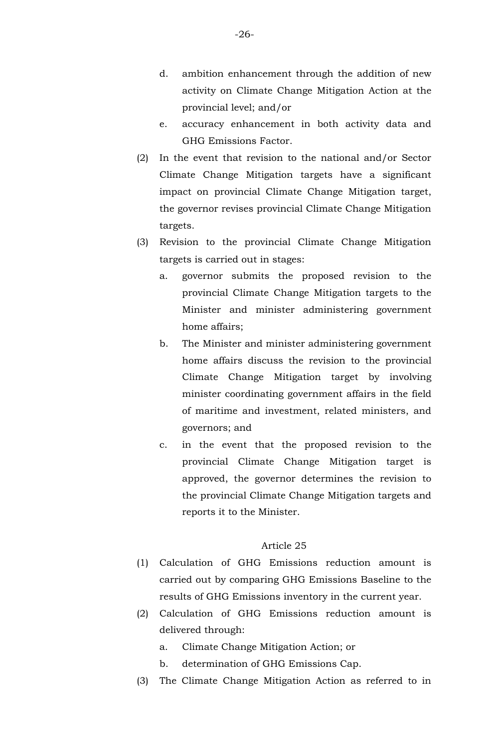- d. ambition enhancement through the addition of new activity on Climate Change Mitigation Action at the provincial level; and/or
- e. accuracy enhancement in both activity data and GHG Emissions Factor.
- (2) In the event that revision to the national and/or Sector Climate Change Mitigation targets have a significant impact on provincial Climate Change Mitigation target, the governor revises provincial Climate Change Mitigation targets.
- (3) Revision to the provincial Climate Change Mitigation targets is carried out in stages:
	- a. governor submits the proposed revision to the provincial Climate Change Mitigation targets to the Minister and minister administering government home affairs;
	- b. The Minister and minister administering government home affairs discuss the revision to the provincial Climate Change Mitigation target by involving minister coordinating government affairs in the field of maritime and investment, related ministers, and governors; and
	- c. in the event that the proposed revision to the provincial Climate Change Mitigation target is approved, the governor determines the revision to the provincial Climate Change Mitigation targets and reports it to the Minister.

- (1) Calculation of GHG Emissions reduction amount is carried out by comparing GHG Emissions Baseline to the results of GHG Emissions inventory in the current year.
- (2) Calculation of GHG Emissions reduction amount is delivered through:
	- a. Climate Change Mitigation Action; or
	- b. determination of GHG Emissions Cap.
- (3) The Climate Change Mitigation Action as referred to in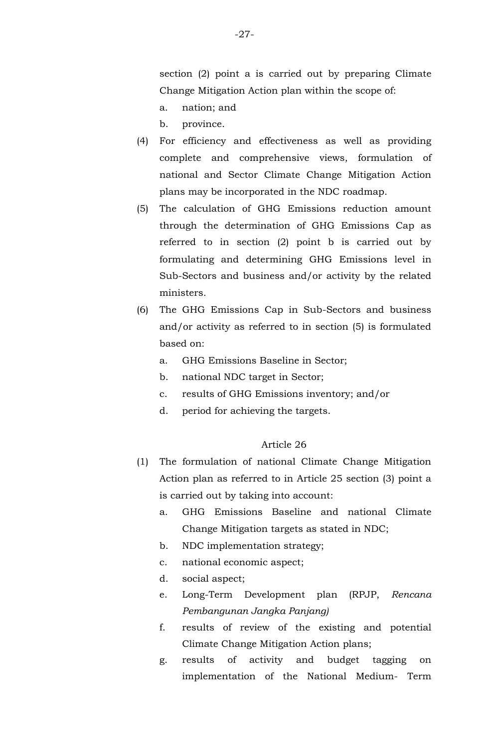section (2) point a is carried out by preparing Climate Change Mitigation Action plan within the scope of:

- a. nation; and
- b. province.
- (4) For efficiency and effectiveness as well as providing complete and comprehensive views, formulation of national and Sector Climate Change Mitigation Action plans may be incorporated in the NDC roadmap.
- (5) The calculation of GHG Emissions reduction amount through the determination of GHG Emissions Cap as referred to in section (2) point b is carried out by formulating and determining GHG Emissions level in Sub-Sectors and business and/or activity by the related ministers.
- (6) The GHG Emissions Cap in Sub-Sectors and business and/or activity as referred to in section (5) is formulated based on:
	- a. GHG Emissions Baseline in Sector;
	- b. national NDC target in Sector;
	- c. results of GHG Emissions inventory; and/or
	- d. period for achieving the targets.

- (1) The formulation of national Climate Change Mitigation Action plan as referred to in Article 25 section (3) point a is carried out by taking into account:
	- a. GHG Emissions Baseline and national Climate Change Mitigation targets as stated in NDC;
	- b. NDC implementation strategy;
	- c. national economic aspect;
	- d. social aspect;
	- e. Long-Term Development plan (RPJP, *Rencana Pembangunan Jangka Panjang)*
	- f. results of review of the existing and potential Climate Change Mitigation Action plans;
	- g. results of activity and budget tagging on implementation of the National Medium- Term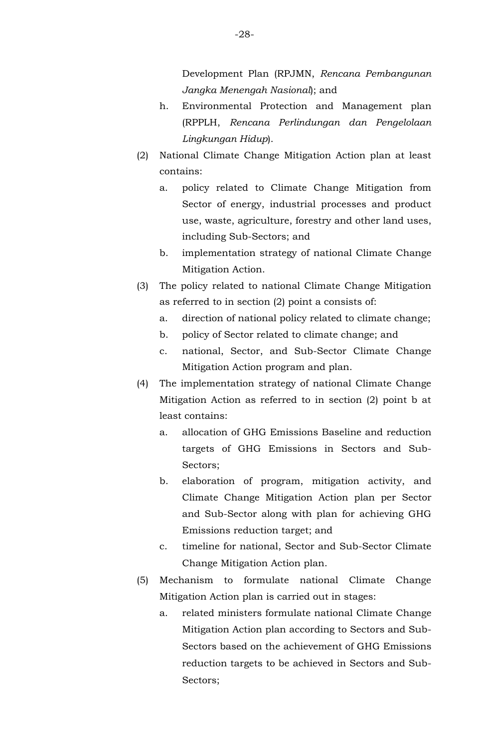Development Plan (RPJMN, *Rencana Pembangunan Jangka Menengah Nasional*); and

- h. Environmental Protection and Management plan (RPPLH, *Rencana Perlindungan dan Pengelolaan Lingkungan Hidup*).
- (2) National Climate Change Mitigation Action plan at least contains:
	- a. policy related to Climate Change Mitigation from Sector of energy, industrial processes and product use, waste, agriculture, forestry and other land uses, including Sub-Sectors; and
	- b. implementation strategy of national Climate Change Mitigation Action.
- (3) The policy related to national Climate Change Mitigation as referred to in section (2) point a consists of:
	- a. direction of national policy related to climate change;
	- b. policy of Sector related to climate change; and
	- c. national, Sector, and Sub-Sector Climate Change Mitigation Action program and plan.
- (4) The implementation strategy of national Climate Change Mitigation Action as referred to in section (2) point b at least contains:
	- a. allocation of GHG Emissions Baseline and reduction targets of GHG Emissions in Sectors and Sub-Sectors;
	- b. elaboration of program, mitigation activity, and Climate Change Mitigation Action plan per Sector and Sub-Sector along with plan for achieving GHG Emissions reduction target; and
	- c. timeline for national, Sector and Sub-Sector Climate Change Mitigation Action plan.
- (5) Mechanism to formulate national Climate Change Mitigation Action plan is carried out in stages:
	- a. related ministers formulate national Climate Change Mitigation Action plan according to Sectors and Sub-Sectors based on the achievement of GHG Emissions reduction targets to be achieved in Sectors and Sub-Sectors;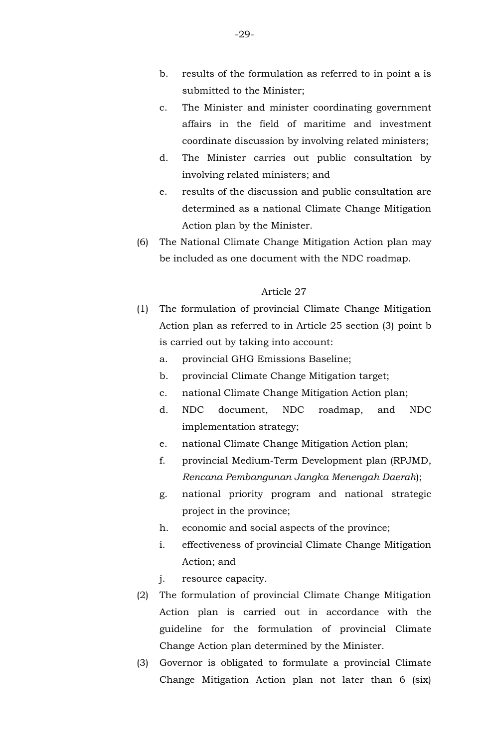- c. The Minister and minister coordinating government affairs in the field of maritime and investment coordinate discussion by involving related ministers;
- d. The Minister carries out public consultation by involving related ministers; and
- e. results of the discussion and public consultation are determined as a national Climate Change Mitigation Action plan by the Minister.
- (6) The National Climate Change Mitigation Action plan may be included as one document with the NDC roadmap.

- (1) The formulation of provincial Climate Change Mitigation Action plan as referred to in Article 25 section (3) point b is carried out by taking into account:
	- a. provincial GHG Emissions Baseline;
	- b. provincial Climate Change Mitigation target;
	- c. national Climate Change Mitigation Action plan;
	- d. NDC document, NDC roadmap, and NDC implementation strategy;
	- e. national Climate Change Mitigation Action plan;
	- f. provincial Medium-Term Development plan (RPJMD, *Rencana Pembangunan Jangka Menengah Daerah*);
	- g. national priority program and national strategic project in the province;
	- h. economic and social aspects of the province;
	- i. effectiveness of provincial Climate Change Mitigation Action; and
	- j. resource capacity.
- (2) The formulation of provincial Climate Change Mitigation Action plan is carried out in accordance with the guideline for the formulation of provincial Climate Change Action plan determined by the Minister.
- (3) Governor is obligated to formulate a provincial Climate Change Mitigation Action plan not later than 6 (six)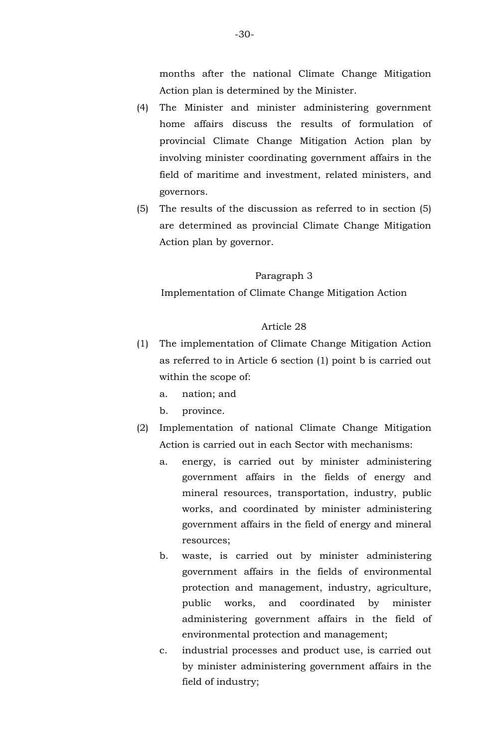months after the national Climate Change Mitigation Action plan is determined by the Minister.

- (4) The Minister and minister administering government home affairs discuss the results of formulation of provincial Climate Change Mitigation Action plan by involving minister coordinating government affairs in the field of maritime and investment, related ministers, and governors.
- (5) The results of the discussion as referred to in section (5) are determined as provincial Climate Change Mitigation Action plan by governor.

#### Paragraph 3

Implementation of Climate Change Mitigation Action

- (1) The implementation of Climate Change Mitigation Action as referred to in Article 6 section (1) point b is carried out within the scope of:
	- a. nation; and
	- b. province.
- (2) Implementation of national Climate Change Mitigation Action is carried out in each Sector with mechanisms:
	- a. energy, is carried out by minister administering government affairs in the fields of energy and mineral resources, transportation, industry, public works, and coordinated by minister administering government affairs in the field of energy and mineral resources;
	- b. waste, is carried out by minister administering government affairs in the fields of environmental protection and management, industry, agriculture, public works, and coordinated by minister administering government affairs in the field of environmental protection and management;
	- c. industrial processes and product use, is carried out by minister administering government affairs in the field of industry;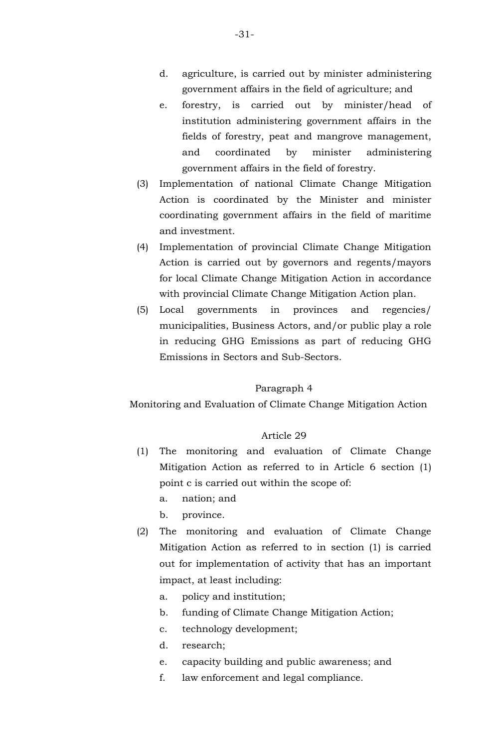- d. agriculture, is carried out by minister administering government affairs in the field of agriculture; and
- e. forestry, is carried out by minister/head of institution administering government affairs in the fields of forestry, peat and mangrove management, and coordinated by minister administering government affairs in the field of forestry.
- (3) Implementation of national Climate Change Mitigation Action is coordinated by the Minister and minister coordinating government affairs in the field of maritime and investment.
- (4) Implementation of provincial Climate Change Mitigation Action is carried out by governors and regents/mayors for local Climate Change Mitigation Action in accordance with provincial Climate Change Mitigation Action plan.
- (5) Local governments in provinces and regencies/ municipalities, Business Actors, and/or public play a role in reducing GHG Emissions as part of reducing GHG Emissions in Sectors and Sub-Sectors.

### Paragraph 4

Monitoring and Evaluation of Climate Change Mitigation Action

- (1) The monitoring and evaluation of Climate Change Mitigation Action as referred to in Article 6 section (1) point c is carried out within the scope of:
	- a. nation; and
	- b. province.
- (2) The monitoring and evaluation of Climate Change Mitigation Action as referred to in section (1) is carried out for implementation of activity that has an important impact, at least including:
	- a. policy and institution;
	- b. funding of Climate Change Mitigation Action;
	- c. technology development;
	- d. research;
	- e. capacity building and public awareness; and
	- f. law enforcement and legal compliance.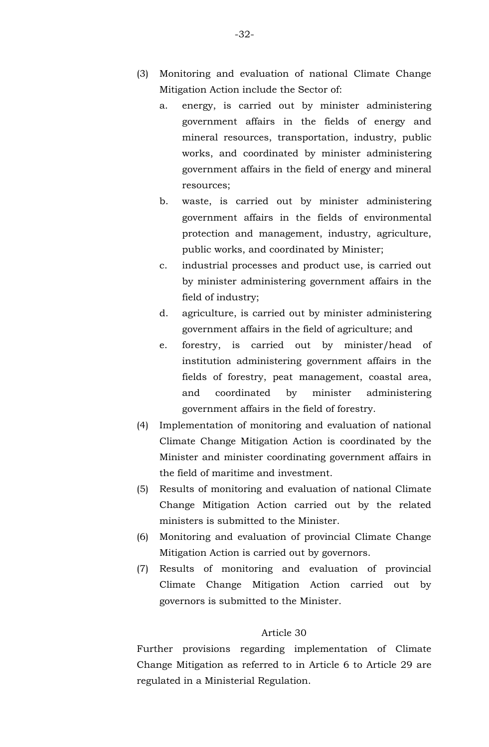- (3) Monitoring and evaluation of national Climate Change Mitigation Action include the Sector of:
	- a. energy, is carried out by minister administering government affairs in the fields of energy and mineral resources, transportation, industry, public works, and coordinated by minister administering government affairs in the field of energy and mineral resources;
	- b. waste, is carried out by minister administering government affairs in the fields of environmental protection and management, industry, agriculture, public works, and coordinated by Minister;
	- c. industrial processes and product use, is carried out by minister administering government affairs in the field of industry;
	- d. agriculture, is carried out by minister administering government affairs in the field of agriculture; and
	- e. forestry, is carried out by minister/head of institution administering government affairs in the fields of forestry, peat management, coastal area, and coordinated by minister administering government affairs in the field of forestry.
- (4) Implementation of monitoring and evaluation of national Climate Change Mitigation Action is coordinated by the Minister and minister coordinating government affairs in the field of maritime and investment.
- (5) Results of monitoring and evaluation of national Climate Change Mitigation Action carried out by the related ministers is submitted to the Minister.
- (6) Monitoring and evaluation of provincial Climate Change Mitigation Action is carried out by governors.
- (7) Results of monitoring and evaluation of provincial Climate Change Mitigation Action carried out by governors is submitted to the Minister.

Further provisions regarding implementation of Climate Change Mitigation as referred to in Article 6 to Article 29 are regulated in a Ministerial Regulation.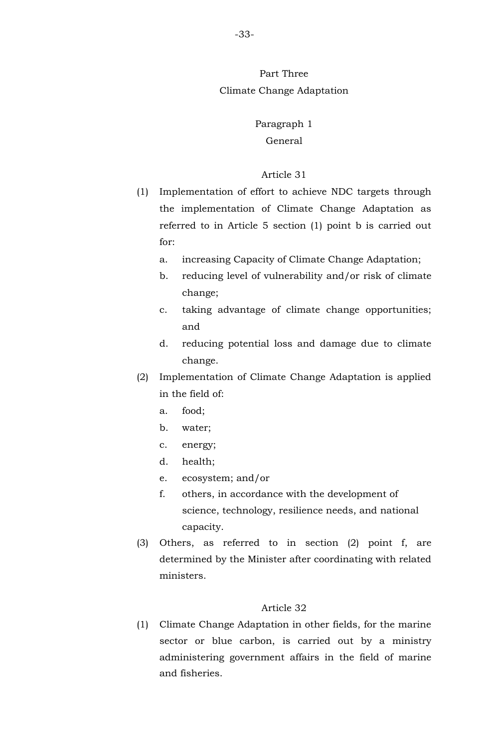## Part Three Climate Change Adaptation

## Paragraph 1 General

## Article 31

- (1) Implementation of effort to achieve NDC targets through the implementation of Climate Change Adaptation as referred to in Article 5 section (1) point b is carried out for:
	- a. increasing Capacity of Climate Change Adaptation;
	- b. reducing level of vulnerability and/or risk of climate change;
	- c. taking advantage of climate change opportunities; and
	- d. reducing potential loss and damage due to climate change.
- (2) Implementation of Climate Change Adaptation is applied in the field of:
	- a. food;
	- b. water;
	- c. energy;
	- d. health;
	- e. ecosystem; and/or
	- f. others, in accordance with the development of science, technology, resilience needs, and national capacity.
- (3) Others, as referred to in section (2) point f, are determined by the Minister after coordinating with related ministers.

## Article 32

(1) Climate Change Adaptation in other fields, for the marine sector or blue carbon, is carried out by a ministry administering government affairs in the field of marine and fisheries.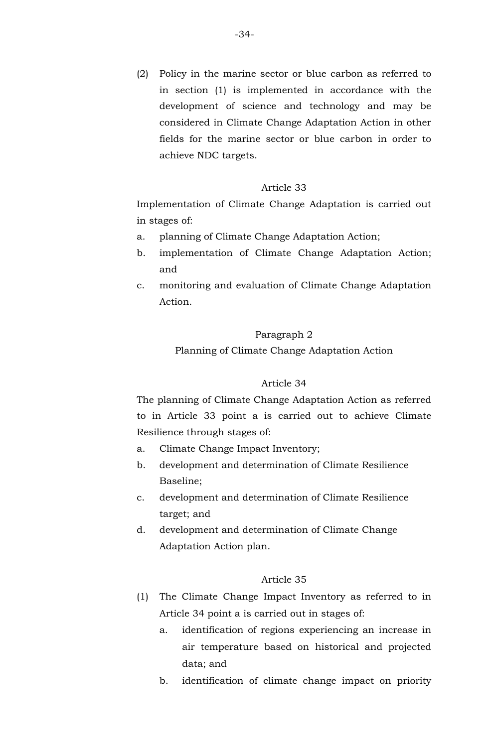(2) Policy in the marine sector or blue carbon as referred to in section (1) is implemented in accordance with the development of science and technology and may be considered in Climate Change Adaptation Action in other fields for the marine sector or blue carbon in order to achieve NDC targets.

## Article 33

Implementation of Climate Change Adaptation is carried out in stages of:

- a. planning of Climate Change Adaptation Action;
- b. implementation of Climate Change Adaptation Action; and
- c. monitoring and evaluation of Climate Change Adaptation Action.

#### Paragraph 2

Planning of Climate Change Adaptation Action

## Article 34

The planning of Climate Change Adaptation Action as referred to in Article 33 point a is carried out to achieve Climate Resilience through stages of:

- a. Climate Change Impact Inventory;
- b. development and determination of Climate Resilience Baseline;
- c. development and determination of Climate Resilience target; and
- d. development and determination of Climate Change Adaptation Action plan.

- (1) The Climate Change Impact Inventory as referred to in Article 34 point a is carried out in stages of:
	- a. identification of regions experiencing an increase in air temperature based on historical and projected data; and
	- b. identification of climate change impact on priority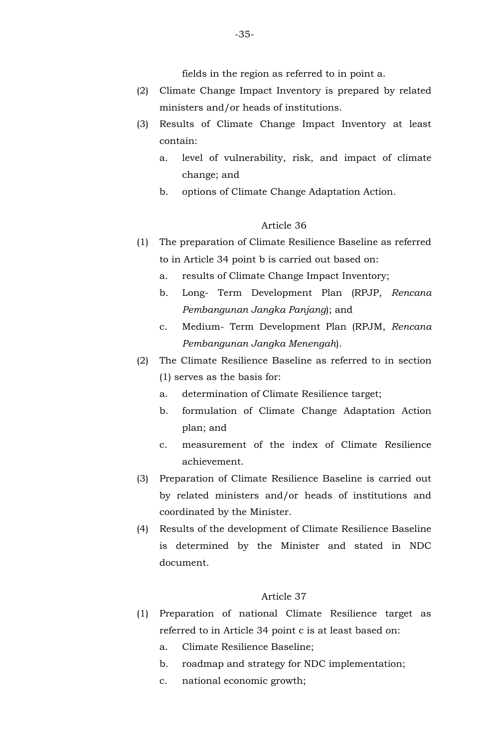fields in the region as referred to in point a.

- (2) Climate Change Impact Inventory is prepared by related ministers and/or heads of institutions.
- (3) Results of Climate Change Impact Inventory at least contain:
	- a. level of vulnerability, risk, and impact of climate change; and
	- b. options of Climate Change Adaptation Action.

## Article 36

- (1) The preparation of Climate Resilience Baseline as referred to in Article 34 point b is carried out based on:
	- a. results of Climate Change Impact Inventory;
	- b. Long- Term Development Plan (RPJP, *Rencana Pembangunan Jangka Panjang*); and
	- c. Medium- Term Development Plan (RPJM, *Rencana Pembangunan Jangka Menengah*).
- (2) The Climate Resilience Baseline as referred to in section (1) serves as the basis for:
	- a. determination of Climate Resilience target;
	- b. formulation of Climate Change Adaptation Action plan; and
	- c. measurement of the index of Climate Resilience achievement.
- (3) Preparation of Climate Resilience Baseline is carried out by related ministers and/or heads of institutions and coordinated by the Minister.
- (4) Results of the development of Climate Resilience Baseline is determined by the Minister and stated in NDC document.

- (1) Preparation of national Climate Resilience target as referred to in Article 34 point c is at least based on:
	- a. Climate Resilience Baseline;
	- b. roadmap and strategy for NDC implementation;
	- c. national economic growth;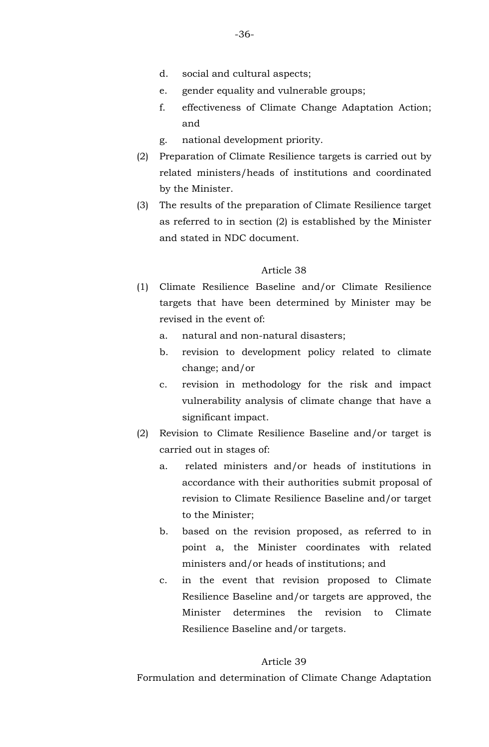- d. social and cultural aspects;
- e. gender equality and vulnerable groups;
- f. effectiveness of Climate Change Adaptation Action; and
- g. national development priority.
- (2) Preparation of Climate Resilience targets is carried out by related ministers/heads of institutions and coordinated by the Minister.
- (3) The results of the preparation of Climate Resilience target as referred to in section (2) is established by the Minister and stated in NDC document.

- (1) Climate Resilience Baseline and/or Climate Resilience targets that have been determined by Minister may be revised in the event of:
	- a. natural and non-natural disasters;
	- b. revision to development policy related to climate change; and/or
	- c. revision in methodology for the risk and impact vulnerability analysis of climate change that have a significant impact.
- (2) Revision to Climate Resilience Baseline and/or target is carried out in stages of:
	- a. related ministers and/or heads of institutions in accordance with their authorities submit proposal of revision to Climate Resilience Baseline and/or target to the Minister;
	- b. based on the revision proposed, as referred to in point a, the Minister coordinates with related ministers and/or heads of institutions; and
	- c. in the event that revision proposed to Climate Resilience Baseline and/or targets are approved, the Minister determines the revision to Climate Resilience Baseline and/or targets.

## Article 39

Formulation and determination of Climate Change Adaptation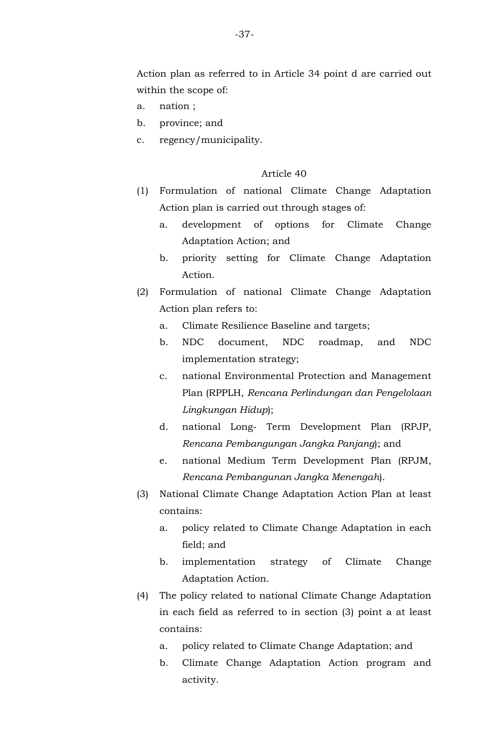Action plan as referred to in Article 34 point d are carried out within the scope of:

- a. nation ;
- b. province; and
- c. regency/municipality.

- (1) Formulation of national Climate Change Adaptation Action plan is carried out through stages of:
	- a. development of options for Climate Change Adaptation Action; and
	- b. priority setting for Climate Change Adaptation Action.
- (2) Formulation of national Climate Change Adaptation Action plan refers to:
	- a. Climate Resilience Baseline and targets;
	- b. NDC document, NDC roadmap, and NDC implementation strategy;
	- c. national Environmental Protection and Management Plan (RPPLH, *Rencana Perlindungan dan Pengelolaan Lingkungan Hidup*);
	- d. national Long- Term Development Plan (RPJP, *Rencana Pembangungan Jangka Panjang*); and
	- e. national Medium Term Development Plan (RPJM, *Rencana Pembangunan Jangka Menengah*).
- (3) National Climate Change Adaptation Action Plan at least contains:
	- a. policy related to Climate Change Adaptation in each field; and
	- b. implementation strategy of Climate Change Adaptation Action.
- (4) The policy related to national Climate Change Adaptation in each field as referred to in section (3) point a at least contains:
	- a. policy related to Climate Change Adaptation; and
	- b. Climate Change Adaptation Action program and activity.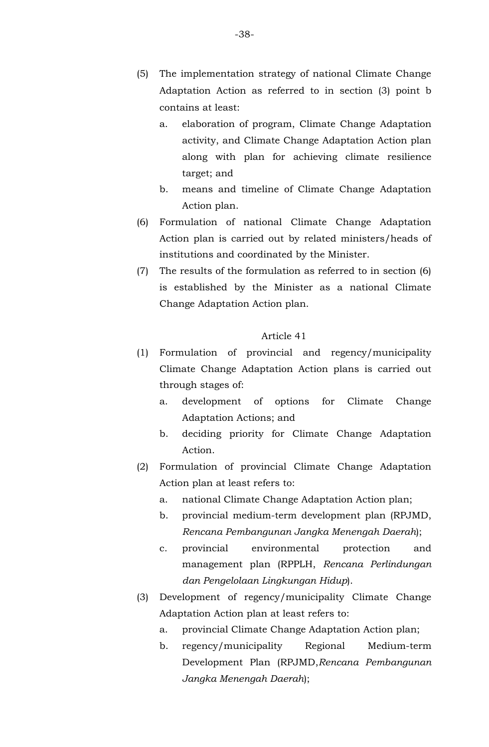- (5) The implementation strategy of national Climate Change Adaptation Action as referred to in section (3) point b contains at least:
	- a. elaboration of program, Climate Change Adaptation activity, and Climate Change Adaptation Action plan along with plan for achieving climate resilience target; and
	- b. means and timeline of Climate Change Adaptation Action plan.
- (6) Formulation of national Climate Change Adaptation Action plan is carried out by related ministers/heads of institutions and coordinated by the Minister.
- (7) The results of the formulation as referred to in section (6) is established by the Minister as a national Climate Change Adaptation Action plan.

- (1) Formulation of provincial and regency/municipality Climate Change Adaptation Action plans is carried out through stages of:
	- a. development of options for Climate Change Adaptation Actions; and
	- b. deciding priority for Climate Change Adaptation Action.
- (2) Formulation of provincial Climate Change Adaptation Action plan at least refers to:
	- a. national Climate Change Adaptation Action plan;
	- b. provincial medium-term development plan (RPJMD, *Rencana Pembangunan Jangka Menengah Daerah*);
	- c. provincial environmental protection and management plan (RPPLH, *Rencana Perlindungan dan Pengelolaan Lingkungan Hidup*).
- (3) Development of regency/municipality Climate Change Adaptation Action plan at least refers to:
	- a. provincial Climate Change Adaptation Action plan;
	- b. regency/municipality Regional Medium-term Development Plan (RPJMD,*Rencana Pembangunan Jangka Menengah Daerah*);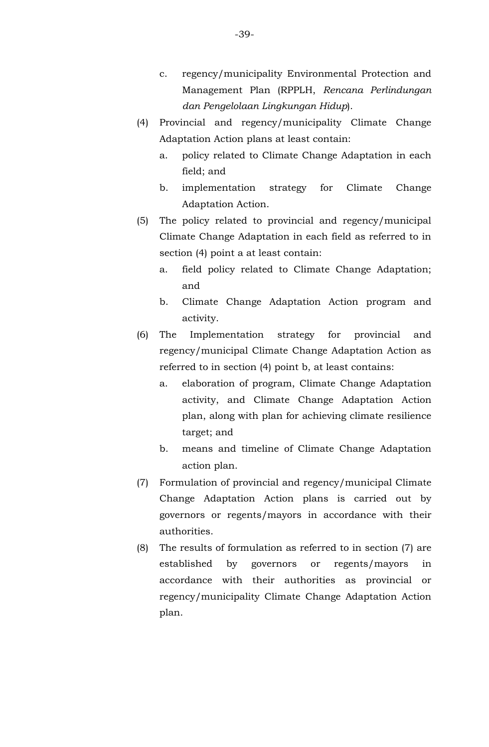- c. regency/municipality Environmental Protection and Management Plan (RPPLH, *Rencana Perlindungan dan Pengelolaan Lingkungan Hidup*).
- (4) Provincial and regency/municipality Climate Change Adaptation Action plans at least contain:
	- a. policy related to Climate Change Adaptation in each field; and
	- b. implementation strategy for Climate Change Adaptation Action.
- (5) The policy related to provincial and regency/municipal Climate Change Adaptation in each field as referred to in section (4) point a at least contain:
	- a. field policy related to Climate Change Adaptation; and
	- b. Climate Change Adaptation Action program and activity.
- (6) The Implementation strategy for provincial and regency/municipal Climate Change Adaptation Action as referred to in section (4) point b, at least contains:
	- a. elaboration of program, Climate Change Adaptation activity, and Climate Change Adaptation Action plan, along with plan for achieving climate resilience target; and
	- b. means and timeline of Climate Change Adaptation action plan.
- (7) Formulation of provincial and regency/municipal Climate Change Adaptation Action plans is carried out by governors or regents/mayors in accordance with their authorities.
- (8) The results of formulation as referred to in section (7) are established by governors or regents/mayors in accordance with their authorities as provincial or regency/municipality Climate Change Adaptation Action plan.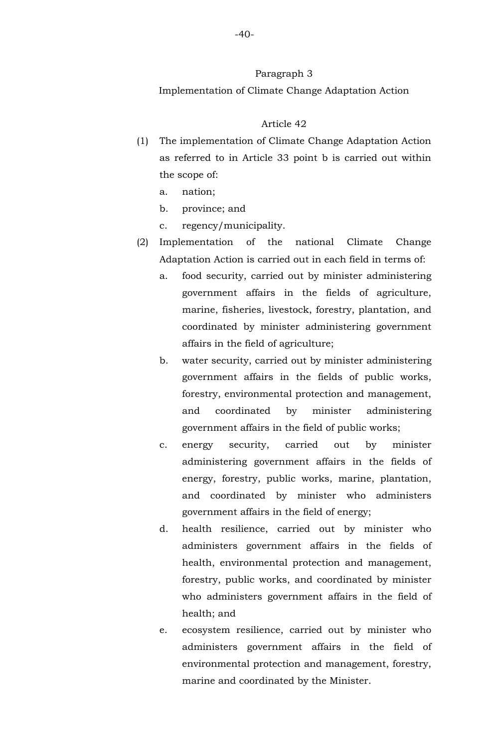#### Paragraph 3

Implementation of Climate Change Adaptation Action

- (1) The implementation of Climate Change Adaptation Action as referred to in Article 33 point b is carried out within the scope of:
	- a. nation;
	- b. province; and
	- c. regency/municipality.
- (2) Implementation of the national Climate Change Adaptation Action is carried out in each field in terms of:
	- a. food security, carried out by minister administering government affairs in the fields of agriculture, marine, fisheries, livestock, forestry, plantation, and coordinated by minister administering government affairs in the field of agriculture;
	- b. water security, carried out by minister administering government affairs in the fields of public works, forestry, environmental protection and management, and coordinated by minister administering government affairs in the field of public works;
	- c. energy security, carried out by minister administering government affairs in the fields of energy, forestry, public works, marine, plantation, and coordinated by minister who administers government affairs in the field of energy;
	- d. health resilience, carried out by minister who administers government affairs in the fields of health, environmental protection and management, forestry, public works, and coordinated by minister who administers government affairs in the field of health; and
	- e. ecosystem resilience, carried out by minister who administers government affairs in the field of environmental protection and management, forestry, marine and coordinated by the Minister.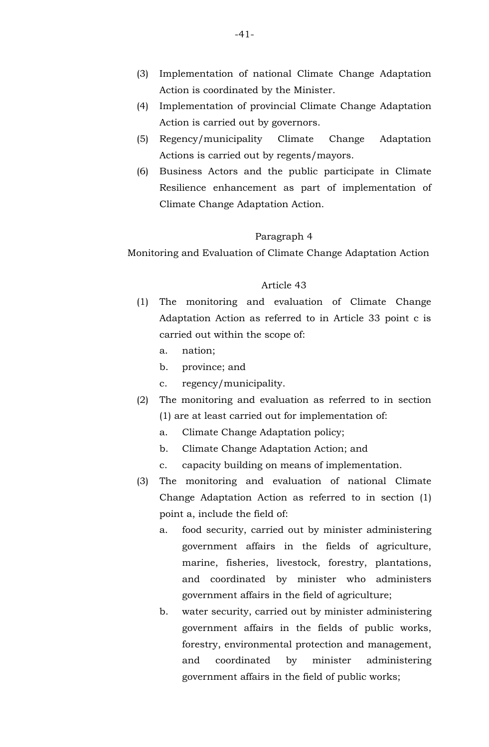- (3) Implementation of national Climate Change Adaptation Action is coordinated by the Minister.
- (4) Implementation of provincial Climate Change Adaptation Action is carried out by governors.
- (5) Regency/municipality Climate Change Adaptation Actions is carried out by regents/mayors.
- (6) Business Actors and the public participate in Climate Resilience enhancement as part of implementation of Climate Change Adaptation Action.

### Paragraph 4

Monitoring and Evaluation of Climate Change Adaptation Action

- (1) The monitoring and evaluation of Climate Change Adaptation Action as referred to in Article 33 point c is carried out within the scope of:
	- a. nation;
	- b. province; and
	- c. regency/municipality.
- (2) The monitoring and evaluation as referred to in section (1) are at least carried out for implementation of:
	- a. Climate Change Adaptation policy;
	- b. Climate Change Adaptation Action; and
	- c. capacity building on means of implementation.
- (3) The monitoring and evaluation of national Climate Change Adaptation Action as referred to in section (1) point a, include the field of:
	- a. food security, carried out by minister administering government affairs in the fields of agriculture, marine, fisheries, livestock, forestry, plantations, and coordinated by minister who administers government affairs in the field of agriculture;
	- b. water security, carried out by minister administering government affairs in the fields of public works, forestry, environmental protection and management, and coordinated by minister administering government affairs in the field of public works;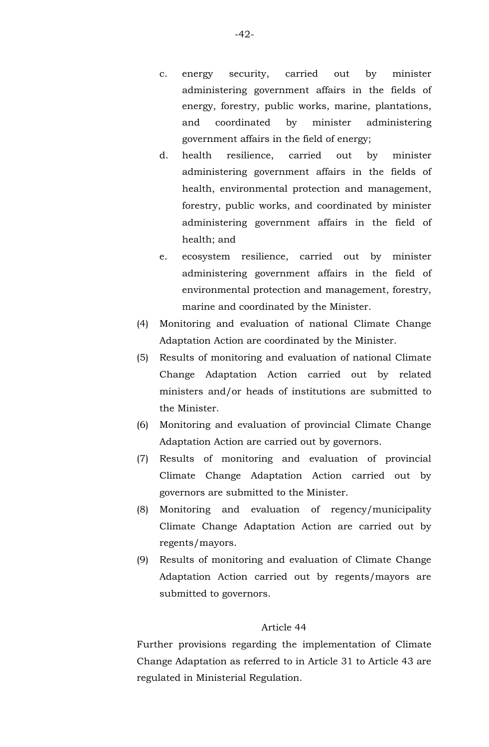- c. energy security, carried out by minister administering government affairs in the fields of energy, forestry, public works, marine, plantations, and coordinated by minister administering government affairs in the field of energy;
- d. health resilience, carried out by minister administering government affairs in the fields of health, environmental protection and management, forestry, public works, and coordinated by minister administering government affairs in the field of health; and
- e. ecosystem resilience, carried out by minister administering government affairs in the field of environmental protection and management, forestry, marine and coordinated by the Minister.
- (4) Monitoring and evaluation of national Climate Change Adaptation Action are coordinated by the Minister.
- (5) Results of monitoring and evaluation of national Climate Change Adaptation Action carried out by related ministers and/or heads of institutions are submitted to the Minister.
- (6) Monitoring and evaluation of provincial Climate Change Adaptation Action are carried out by governors.
- (7) Results of monitoring and evaluation of provincial Climate Change Adaptation Action carried out by governors are submitted to the Minister.
- (8) Monitoring and evaluation of regency/municipality Climate Change Adaptation Action are carried out by regents/mayors.
- (9) Results of monitoring and evaluation of Climate Change Adaptation Action carried out by regents/mayors are submitted to governors.

Further provisions regarding the implementation of Climate Change Adaptation as referred to in Article 31 to Article 43 are regulated in Ministerial Regulation.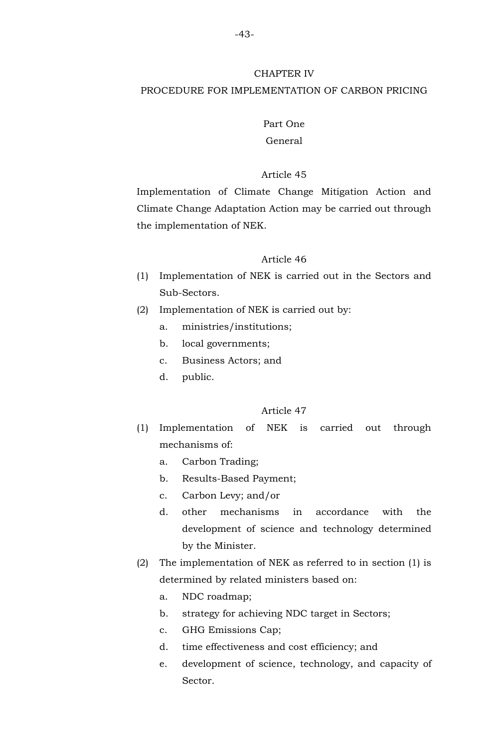#### CHAPTER IV

## PROCEDURE FOR IMPLEMENTATION OF CARBON PRICING

## Part One General

### Article 45

Implementation of Climate Change Mitigation Action and Climate Change Adaptation Action may be carried out through the implementation of NEK.

### Article 46

- (1) Implementation of NEK is carried out in the Sectors and Sub-Sectors.
- (2) Implementation of NEK is carried out by:
	- a. ministries/institutions;
	- b. local governments;
	- c. Business Actors; and
	- d. public.

- (1) Implementation of NEK is carried out through mechanisms of:
	- a. Carbon Trading;
	- b. Results-Based Payment;
	- c. Carbon Levy; and/or
	- d. other mechanisms in accordance with the development of science and technology determined by the Minister.
- (2) The implementation of NEK as referred to in section (1) is determined by related ministers based on:
	- a. NDC roadmap;
	- b. strategy for achieving NDC target in Sectors;
	- c. GHG Emissions Cap;
	- d. time effectiveness and cost efficiency; and
	- e. development of science, technology, and capacity of Sector.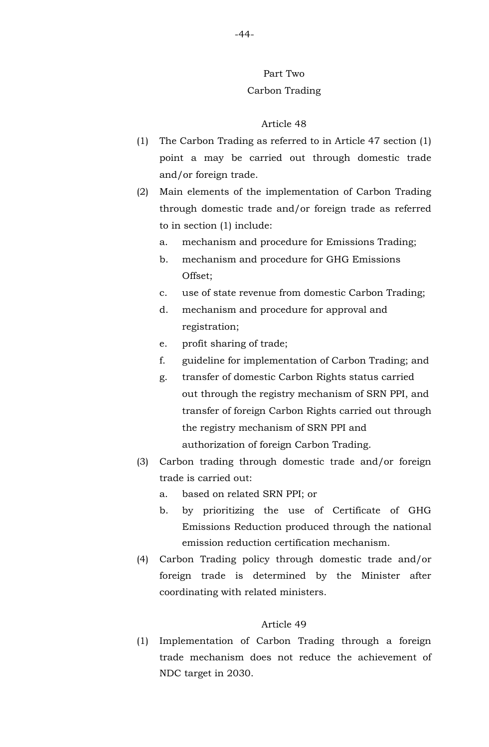## Part Two Carbon Trading

#### Article 48

- (1) The Carbon Trading as referred to in Article 47 section (1) point a may be carried out through domestic trade and/or foreign trade.
- (2) Main elements of the implementation of Carbon Trading through domestic trade and/or foreign trade as referred to in section (1) include:
	- a. mechanism and procedure for Emissions Trading;
	- b. mechanism and procedure for GHG Emissions Offset;
	- c. use of state revenue from domestic Carbon Trading;
	- d. mechanism and procedure for approval and registration;
	- e. profit sharing of trade;
	- f. guideline for implementation of Carbon Trading; and
	- g. transfer of domestic Carbon Rights status carried out through the registry mechanism of SRN PPI, and transfer of foreign Carbon Rights carried out through the registry mechanism of SRN PPI and authorization of foreign Carbon Trading.
- (3) Carbon trading through domestic trade and/or foreign trade is carried out:
	- a. based on related SRN PPI; or
	- b. by prioritizing the use of Certificate of GHG Emissions Reduction produced through the national emission reduction certification mechanism.
- (4) Carbon Trading policy through domestic trade and/or foreign trade is determined by the Minister after coordinating with related ministers.

## Article 49

(1) Implementation of Carbon Trading through a foreign trade mechanism does not reduce the achievement of NDC target in 2030.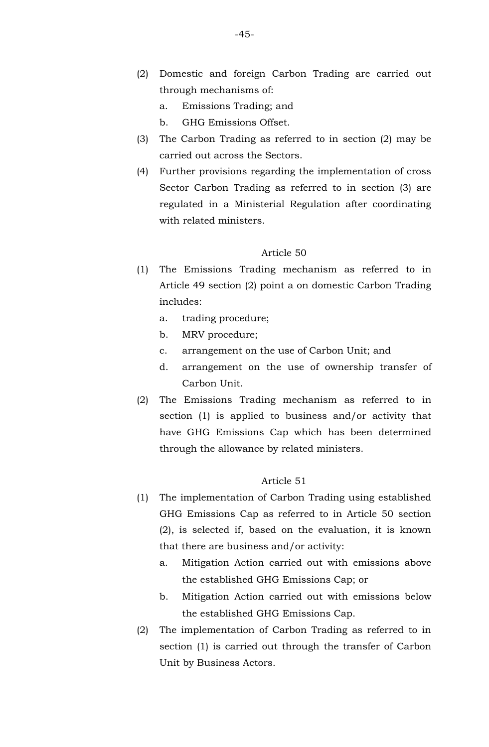- (2) Domestic and foreign Carbon Trading are carried out through mechanisms of:
	- a. Emissions Trading; and
	- b. GHG Emissions Offset.
- (3) The Carbon Trading as referred to in section (2) may be carried out across the Sectors.
- (4) Further provisions regarding the implementation of cross Sector Carbon Trading as referred to in section (3) are regulated in a Ministerial Regulation after coordinating with related ministers.

- (1) The Emissions Trading mechanism as referred to in Article 49 section (2) point a on domestic Carbon Trading includes:
	- a. trading procedure;
	- b. MRV procedure;
	- c. arrangement on the use of Carbon Unit; and
	- d. arrangement on the use of ownership transfer of Carbon Unit.
- (2) The Emissions Trading mechanism as referred to in section (1) is applied to business and/or activity that have GHG Emissions Cap which has been determined through the allowance by related ministers.

- (1) The implementation of Carbon Trading using established GHG Emissions Cap as referred to in Article 50 section (2), is selected if, based on the evaluation, it is known that there are business and/or activity:
	- a. Mitigation Action carried out with emissions above the established GHG Emissions Cap; or
	- b. Mitigation Action carried out with emissions below the established GHG Emissions Cap.
- (2) The implementation of Carbon Trading as referred to in section (1) is carried out through the transfer of Carbon Unit by Business Actors.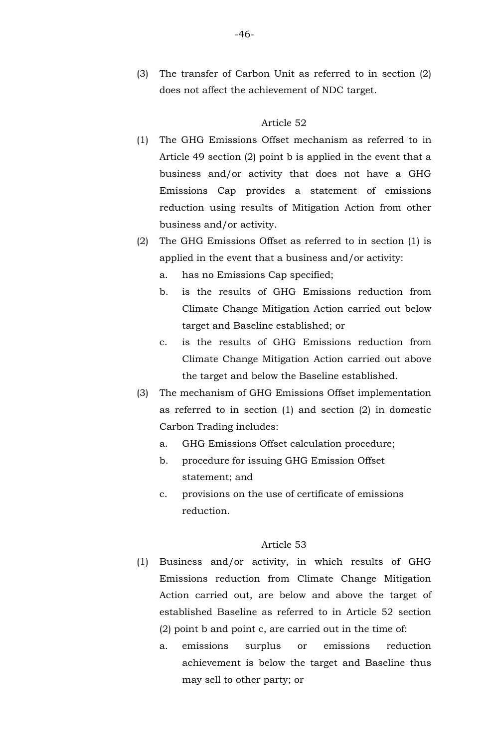(3) The transfer of Carbon Unit as referred to in section (2) does not affect the achievement of NDC target.

#### Article 52

- (1) The GHG Emissions Offset mechanism as referred to in Article 49 section (2) point b is applied in the event that a business and/or activity that does not have a GHG Emissions Cap provides a statement of emissions reduction using results of Mitigation Action from other business and/or activity.
- (2) The GHG Emissions Offset as referred to in section (1) is applied in the event that a business and/or activity:
	- a. has no Emissions Cap specified;
	- b. is the results of GHG Emissions reduction from Climate Change Mitigation Action carried out below target and Baseline established; or
	- c. is the results of GHG Emissions reduction from Climate Change Mitigation Action carried out above the target and below the Baseline established.
- (3) The mechanism of GHG Emissions Offset implementation as referred to in section (1) and section (2) in domestic Carbon Trading includes:
	- a. GHG Emissions Offset calculation procedure;
	- b. procedure for issuing GHG Emission Offset statement; and
	- c. provisions on the use of certificate of emissions reduction.

- (1) Business and/or activity, in which results of GHG Emissions reduction from Climate Change Mitigation Action carried out, are below and above the target of established Baseline as referred to in Article 52 section (2) point b and point c, are carried out in the time of:
	- a. emissions surplus or emissions reduction achievement is below the target and Baseline thus may sell to other party; or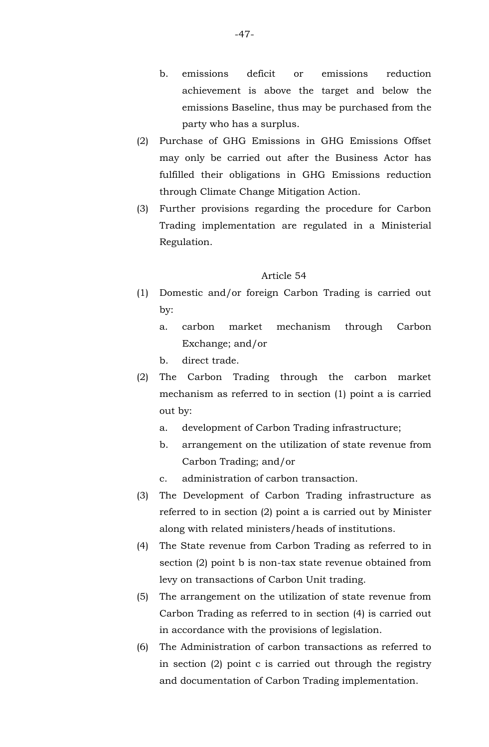- b. emissions deficit or emissions reduction achievement is above the target and below the emissions Baseline, thus may be purchased from the party who has a surplus.
- (2) Purchase of GHG Emissions in GHG Emissions Offset may only be carried out after the Business Actor has fulfilled their obligations in GHG Emissions reduction through Climate Change Mitigation Action.
- (3) Further provisions regarding the procedure for Carbon Trading implementation are regulated in a Ministerial Regulation.

- (1) Domestic and/or foreign Carbon Trading is carried out by:
	- a. carbon market mechanism through Carbon Exchange; and/or
	- b. direct trade.
- (2) The Carbon Trading through the carbon market mechanism as referred to in section (1) point a is carried out by:
	- a. development of Carbon Trading infrastructure;
	- b. arrangement on the utilization of state revenue from Carbon Trading; and/or
	- c. administration of carbon transaction.
- (3) The Development of Carbon Trading infrastructure as referred to in section (2) point a is carried out by Minister along with related ministers/heads of institutions.
- (4) The State revenue from Carbon Trading as referred to in section (2) point b is non-tax state revenue obtained from levy on transactions of Carbon Unit trading.
- (5) The arrangement on the utilization of state revenue from Carbon Trading as referred to in section (4) is carried out in accordance with the provisions of legislation.
- (6) The Administration of carbon transactions as referred to in section (2) point c is carried out through the registry and documentation of Carbon Trading implementation.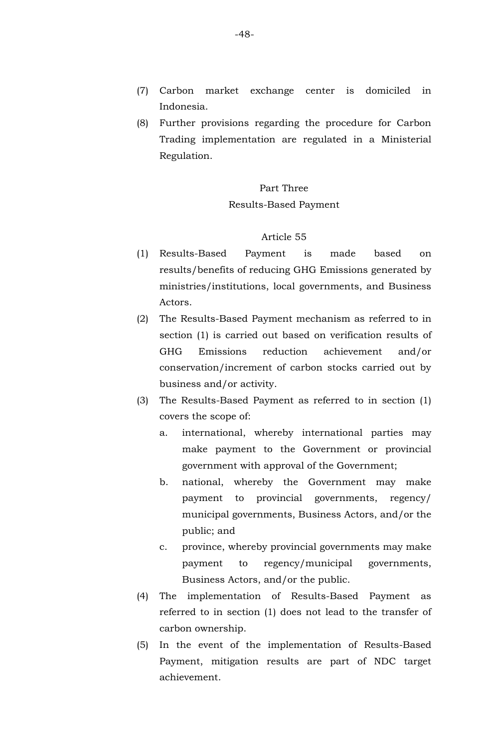- (7) Carbon market exchange center is domiciled in Indonesia.
- (8) Further provisions regarding the procedure for Carbon Trading implementation are regulated in a Ministerial Regulation.

## Part Three Results-Based Payment

- (1) Results-Based Payment is made based on results/benefits of reducing GHG Emissions generated by ministries/institutions, local governments, and Business Actors.
- (2) The Results-Based Payment mechanism as referred to in section (1) is carried out based on verification results of GHG Emissions reduction achievement and/or conservation/increment of carbon stocks carried out by business and/or activity.
- (3) The Results-Based Payment as referred to in section (1) covers the scope of:
	- a. international, whereby international parties may make payment to the Government or provincial government with approval of the Government;
	- b. national, whereby the Government may make payment to provincial governments, regency/ municipal governments, Business Actors, and/or the public; and
	- c. province, whereby provincial governments may make payment to regency/municipal governments, Business Actors, and/or the public.
- (4) The implementation of Results-Based Payment as referred to in section (1) does not lead to the transfer of carbon ownership.
- (5) In the event of the implementation of Results-Based Payment, mitigation results are part of NDC target achievement.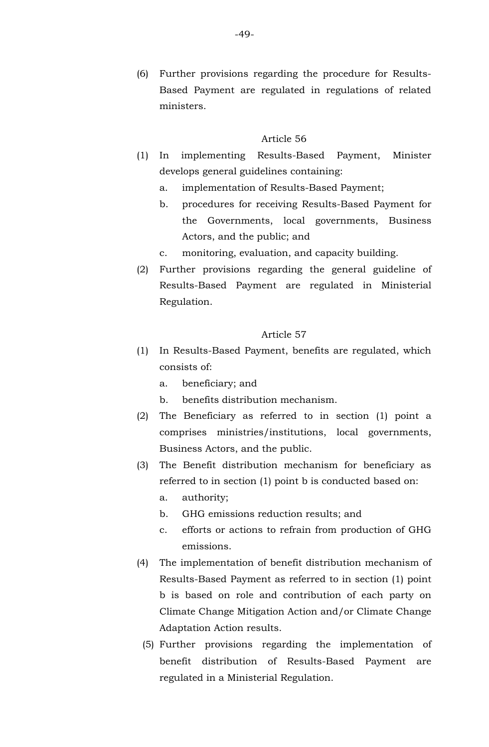(6) Further provisions regarding the procedure for Results-Based Payment are regulated in regulations of related ministers.

#### Article 56

- (1) In implementing Results-Based Payment, Minister develops general guidelines containing:
	- a. implementation of Results-Based Payment;
	- b. procedures for receiving Results-Based Payment for the Governments, local governments, Business Actors, and the public; and
	- c. monitoring, evaluation, and capacity building.
- (2) Further provisions regarding the general guideline of Results-Based Payment are regulated in Ministerial Regulation.

- (1) In Results-Based Payment, benefits are regulated, which consists of:
	- a. beneficiary; and
	- b. benefits distribution mechanism.
- (2) The Beneficiary as referred to in section (1) point a comprises ministries/institutions, local governments, Business Actors, and the public.
- (3) The Benefit distribution mechanism for beneficiary as referred to in section (1) point b is conducted based on:
	- a. authority;
	- b. GHG emissions reduction results; and
	- c. efforts or actions to refrain from production of GHG emissions.
- (4) The implementation of benefit distribution mechanism of Results-Based Payment as referred to in section (1) point b is based on role and contribution of each party on Climate Change Mitigation Action and/or Climate Change Adaptation Action results.
	- (5) Further provisions regarding the implementation of benefit distribution of Results-Based Payment are regulated in a Ministerial Regulation.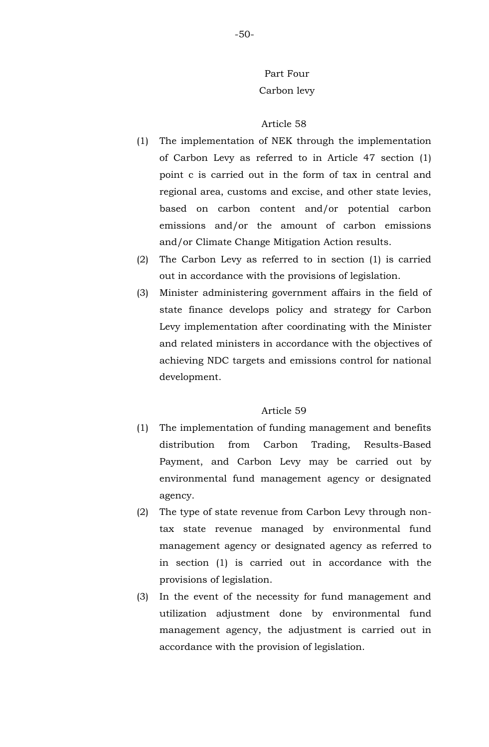# Part Four Carbon levy

### Article 58

- (1) The implementation of NEK through the implementation of Carbon Levy as referred to in Article 47 section (1) point c is carried out in the form of tax in central and regional area, customs and excise, and other state levies, based on carbon content and/or potential carbon emissions and/or the amount of carbon emissions and/or Climate Change Mitigation Action results.
- (2) The Carbon Levy as referred to in section (1) is carried out in accordance with the provisions of legislation.
- (3) Minister administering government affairs in the field of state finance develops policy and strategy for Carbon Levy implementation after coordinating with the Minister and related ministers in accordance with the objectives of achieving NDC targets and emissions control for national development.

- (1) The implementation of funding management and benefits distribution from Carbon Trading, Results-Based Payment, and Carbon Levy may be carried out by environmental fund management agency or designated agency.
- (2) The type of state revenue from Carbon Levy through nontax state revenue managed by environmental fund management agency or designated agency as referred to in section (1) is carried out in accordance with the provisions of legislation.
- (3) In the event of the necessity for fund management and utilization adjustment done by environmental fund management agency, the adjustment is carried out in accordance with the provision of legislation.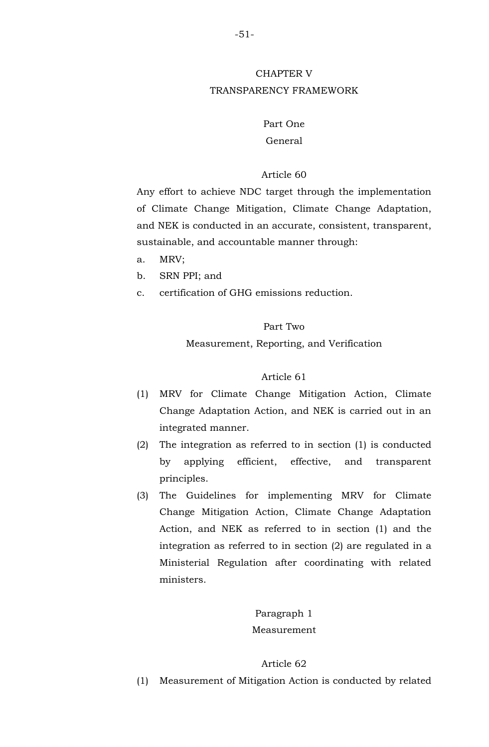## CHAPTER V TRANSPARENCY FRAMEWORK

## Part One

## General

## Article 60

Any effort to achieve NDC target through the implementation of Climate Change Mitigation, Climate Change Adaptation, and NEK is conducted in an accurate, consistent, transparent, sustainable, and accountable manner through:

- a. MRV;
- b. SRN PPI; and
- c. certification of GHG emissions reduction.

## Part Two

## Measurement, Reporting, and Verification

## Article 61

- (1) MRV for Climate Change Mitigation Action, Climate Change Adaptation Action, and NEK is carried out in an integrated manner.
- (2) The integration as referred to in section (1) is conducted by applying efficient, effective, and transparent principles.
- (3) The Guidelines for implementing MRV for Climate Change Mitigation Action, Climate Change Adaptation Action, and NEK as referred to in section (1) and the integration as referred to in section (2) are regulated in a Ministerial Regulation after coordinating with related ministers.

## Paragraph 1 Measurement

## Article 62

(1) Measurement of Mitigation Action is conducted by related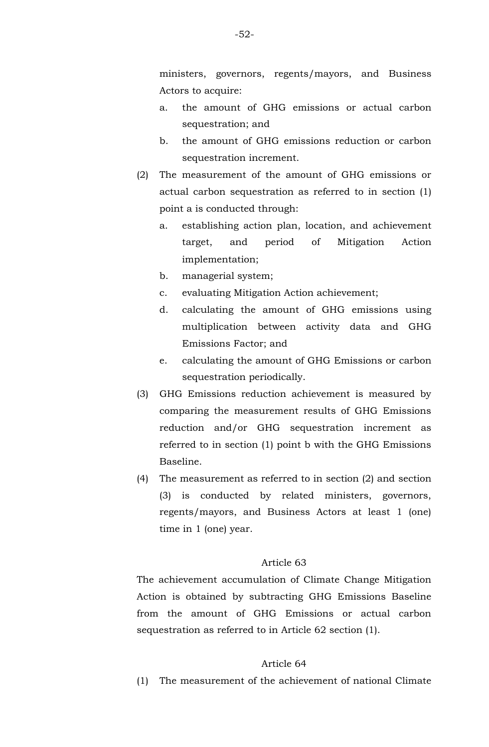ministers, governors, regents/mayors, and Business Actors to acquire:

- a. the amount of GHG emissions or actual carbon sequestration; and
- b. the amount of GHG emissions reduction or carbon sequestration increment.
- (2) The measurement of the amount of GHG emissions or actual carbon sequestration as referred to in section (1) point a is conducted through:
	- a. establishing action plan, location, and achievement target, and period of Mitigation Action implementation;
	- b. managerial system;
	- c. evaluating Mitigation Action achievement;
	- d. calculating the amount of GHG emissions using multiplication between activity data and GHG Emissions Factor; and
	- e. calculating the amount of GHG Emissions or carbon sequestration periodically.
- (3) GHG Emissions reduction achievement is measured by comparing the measurement results of GHG Emissions reduction and/or GHG sequestration increment as referred to in section (1) point b with the GHG Emissions Baseline.
- (4) The measurement as referred to in section (2) and section (3) is conducted by related ministers, governors, regents/mayors, and Business Actors at least 1 (one) time in 1 (one) year.

### Article 63

The achievement accumulation of Climate Change Mitigation Action is obtained by subtracting GHG Emissions Baseline from the amount of GHG Emissions or actual carbon sequestration as referred to in Article 62 section (1).

#### Article 64

(1) The measurement of the achievement of national Climate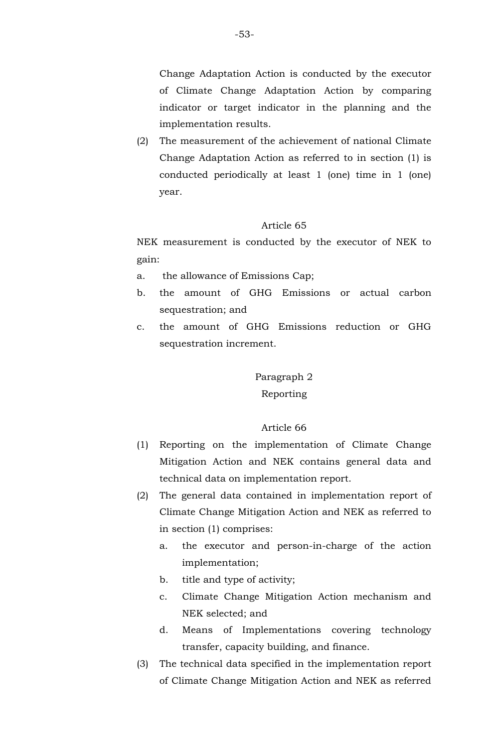Change Adaptation Action is conducted by the executor of Climate Change Adaptation Action by comparing indicator or target indicator in the planning and the implementation results.

(2) The measurement of the achievement of national Climate Change Adaptation Action as referred to in section (1) is conducted periodically at least 1 (one) time in 1 (one) year.

#### Article 65

NEK measurement is conducted by the executor of NEK to gain:

- a. the allowance of Emissions Cap;
- b. the amount of GHG Emissions or actual carbon sequestration; and
- c. the amount of GHG Emissions reduction or GHG sequestration increment.

# Paragraph 2 Reporting

- (1) Reporting on the implementation of Climate Change Mitigation Action and NEK contains general data and technical data on implementation report.
- (2) The general data contained in implementation report of Climate Change Mitigation Action and NEK as referred to in section (1) comprises:
	- a. the executor and person-in-charge of the action implementation;
	- b. title and type of activity;
	- c. Climate Change Mitigation Action mechanism and NEK selected; and
	- d. Means of Implementations covering technology transfer, capacity building, and finance.
- (3) The technical data specified in the implementation report of Climate Change Mitigation Action and NEK as referred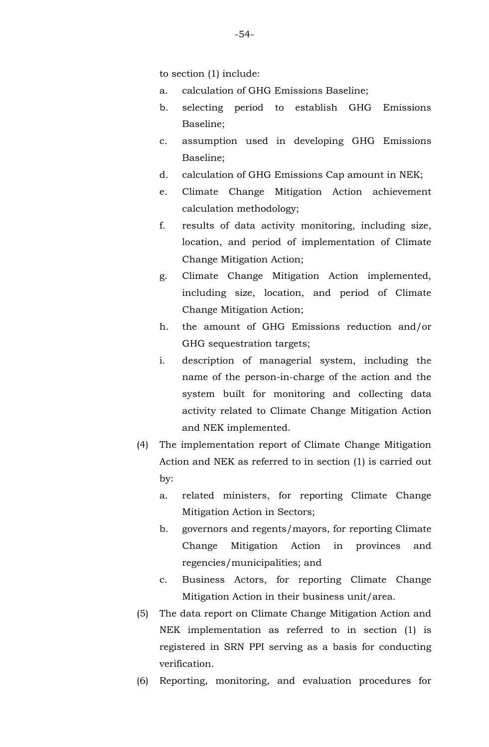to section (1) include:

- a. calculation of GHG Emissions Baseline;
- b. selecting period to establish GHG Emissions Baseline;
- c. assumption used in developing GHG Emissions Baseline;
- d. calculation of GHG Emissions Cap amount in NEK;
- e. Climate Change Mitigation Action achievement calculation methodology;
- f. results of data activity monitoring, including size, location, and period of implementation of Climate Change Mitigation Action;
- g. Climate Change Mitigation Action implemented, including size, location, and period of Climate Change Mitigation Action;
- h. the amount of GHG Emissions reduction and/or GHG sequestration targets;
- i. description of managerial system, including the name of the person-in-charge of the action and the system built for monitoring and collecting data activity related to Climate Change Mitigation Action and NEK implemented.
- (4) The implementation report of Climate Change Mitigation Action and NEK as referred to in section (1) is carried out by:
	- a. related ministers, for reporting Climate Change Mitigation Action in Sectors;
	- b. governors and regents/mayors, for reporting Climate Change Mitigation Action in provinces and regencies/municipalities; and
	- c. Business Actors, for reporting Climate Change Mitigation Action in their business unit/area.
- (5) The data report on Climate Change Mitigation Action and NEK implementation as referred to in section (1) is registered in SRN PPI serving as a basis for conducting verification.
- (6) Reporting, monitoring, and evaluation procedures for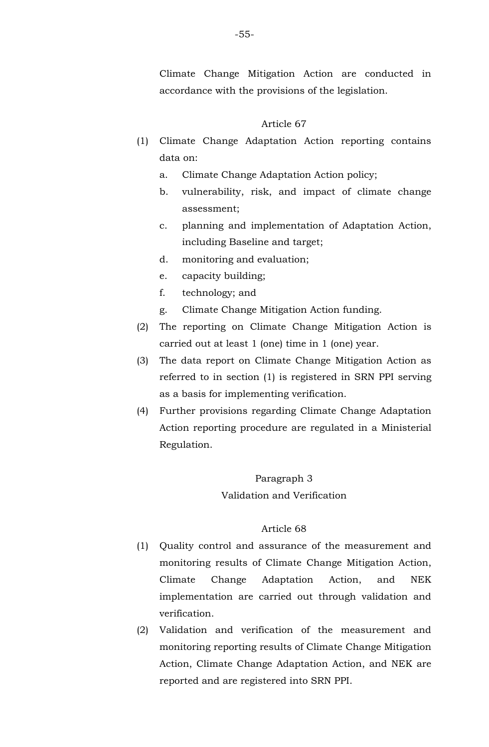Climate Change Mitigation Action are conducted in accordance with the provisions of the legislation.

### Article 67

- (1) Climate Change Adaptation Action reporting contains data on:
	- a. Climate Change Adaptation Action policy;
	- b. vulnerability, risk, and impact of climate change assessment;
	- c. planning and implementation of Adaptation Action, including Baseline and target;
	- d. monitoring and evaluation;
	- e. capacity building;
	- f. technology; and
	- g. Climate Change Mitigation Action funding.
- (2) The reporting on Climate Change Mitigation Action is carried out at least 1 (one) time in 1 (one) year.
- (3) The data report on Climate Change Mitigation Action as referred to in section (1) is registered in SRN PPI serving as a basis for implementing verification.
- (4) Further provisions regarding Climate Change Adaptation Action reporting procedure are regulated in a Ministerial Regulation.

#### Paragraph 3

### Validation and Verification

- (1) Quality control and assurance of the measurement and monitoring results of Climate Change Mitigation Action, Climate Change Adaptation Action, and NEK implementation are carried out through validation and verification.
- (2) Validation and verification of the measurement and monitoring reporting results of Climate Change Mitigation Action, Climate Change Adaptation Action, and NEK are reported and are registered into SRN PPI.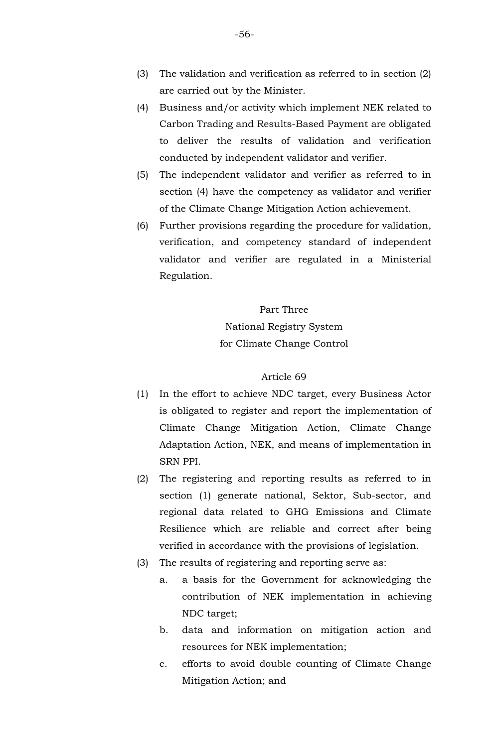- (3) The validation and verification as referred to in section (2) are carried out by the Minister.
- (4) Business and/or activity which implement NEK related to Carbon Trading and Results-Based Payment are obligated to deliver the results of validation and verification conducted by independent validator and verifier.
- (5) The independent validator and verifier as referred to in section (4) have the competency as validator and verifier of the Climate Change Mitigation Action achievement.
- (6) Further provisions regarding the procedure for validation, verification, and competency standard of independent validator and verifier are regulated in a Ministerial Regulation.

## Part Three National Registry System for Climate Change Control

- (1) In the effort to achieve NDC target, every Business Actor is obligated to register and report the implementation of Climate Change Mitigation Action, Climate Change Adaptation Action, NEK, and means of implementation in SRN PPI.
- (2) The registering and reporting results as referred to in section (1) generate national, Sektor, Sub-sector, and regional data related to GHG Emissions and Climate Resilience which are reliable and correct after being verified in accordance with the provisions of legislation.
- (3) The results of registering and reporting serve as:
	- a. a basis for the Government for acknowledging the contribution of NEK implementation in achieving NDC target;
	- b. data and information on mitigation action and resources for NEK implementation;
	- c. efforts to avoid double counting of Climate Change Mitigation Action; and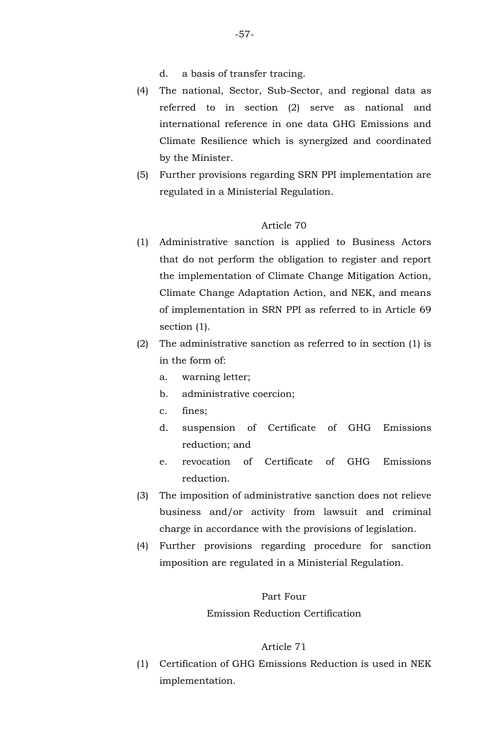- d. a basis of transfer tracing.
- (4) The national, Sector, Sub-Sector, and regional data as referred to in section (2) serve as national and international reference in one data GHG Emissions and Climate Resilience which is synergized and coordinated by the Minister.
- (5) Further provisions regarding SRN PPI implementation are regulated in a Ministerial Regulation.

- (1) Administrative sanction is applied to Business Actors that do not perform the obligation to register and report the implementation of Climate Change Mitigation Action, Climate Change Adaptation Action, and NEK, and means of implementation in SRN PPI as referred to in Article 69 section  $(1)$ .
- (2) The administrative sanction as referred to in section (1) is in the form of:
	- a. warning letter;
	- b. administrative coercion;
	- c. fines;
	- d. suspension of Certificate of GHG Emissions reduction; and
	- e. revocation of Certificate of GHG Emissions reduction.
- (3) The imposition of administrative sanction does not relieve business and/or activity from lawsuit and criminal charge in accordance with the provisions of legislation.
- (4) Further provisions regarding procedure for sanction imposition are regulated in a Ministerial Regulation.

#### Part Four

### Emission Reduction Certification

#### Article 71

(1) Certification of GHG Emissions Reduction is used in NEK implementation.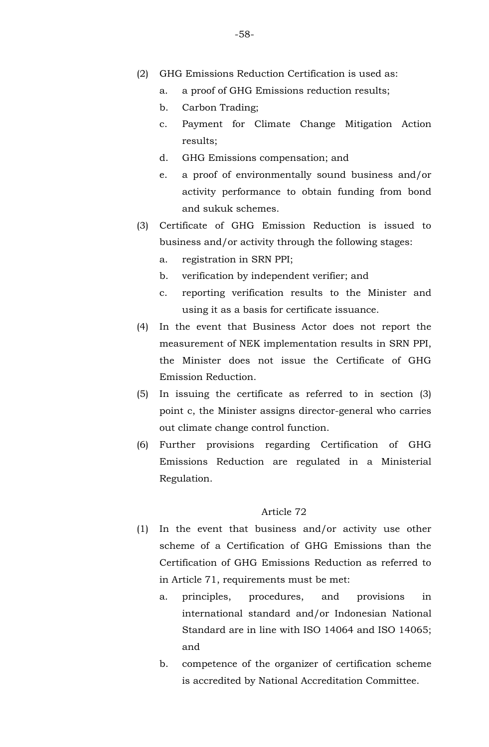- (2) GHG Emissions Reduction Certification is used as:
	- a. a proof of GHG Emissions reduction results;
	- b. Carbon Trading;
	- c. Payment for Climate Change Mitigation Action results;
	- d. GHG Emissions compensation; and
	- e. a proof of environmentally sound business and/or activity performance to obtain funding from bond and sukuk schemes.
- (3) Certificate of GHG Emission Reduction is issued to business and/or activity through the following stages:
	- a. registration in SRN PPI;
	- b. verification by independent verifier; and
	- c. reporting verification results to the Minister and using it as a basis for certificate issuance.
- (4) In the event that Business Actor does not report the measurement of NEK implementation results in SRN PPI, the Minister does not issue the Certificate of GHG Emission Reduction.
- (5) In issuing the certificate as referred to in section (3) point c, the Minister assigns director-general who carries out climate change control function.
- (6) Further provisions regarding Certification of GHG Emissions Reduction are regulated in a Ministerial Regulation.

- (1) In the event that business and/or activity use other scheme of a Certification of GHG Emissions than the Certification of GHG Emissions Reduction as referred to in Article 71, requirements must be met:
	- a. principles, procedures, and provisions in international standard and/or Indonesian National Standard are in line with ISO 14064 and ISO 14065; and
	- b. competence of the organizer of certification scheme is accredited by National Accreditation Committee.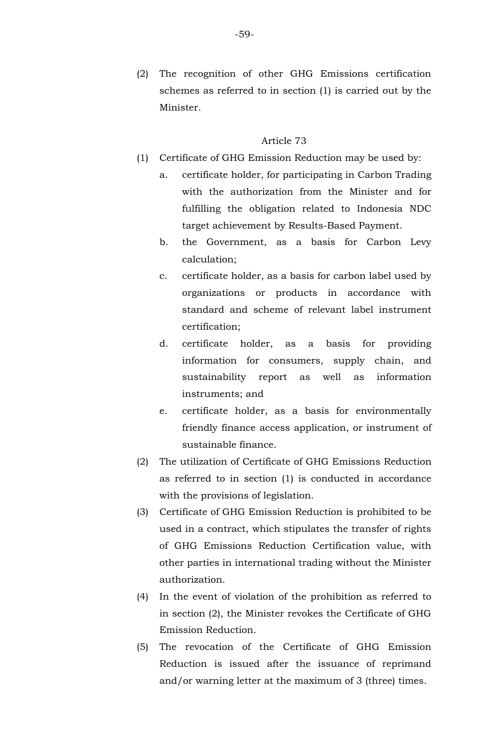- (1) Certificate of GHG Emission Reduction may be used by:
	- a. certificate holder, for participating in Carbon Trading with the authorization from the Minister and for fulfilling the obligation related to Indonesia NDC target achievement by Results-Based Payment.
	- b. the Government, as a basis for Carbon Levy calculation;
	- c. certificate holder, as a basis for carbon label used by organizations or products in accordance with standard and scheme of relevant label instrument certification;
	- d. certificate holder, as a basis for providing information for consumers, supply chain, and sustainability report as well as information instruments; and
	- e. certificate holder, as a basis for environmentally friendly finance access application, or instrument of sustainable finance.
- (2) The utilization of Certificate of GHG Emissions Reduction as referred to in section (1) is conducted in accordance with the provisions of legislation.
- (3) Certificate of GHG Emission Reduction is prohibited to be used in a contract, which stipulates the transfer of rights of GHG Emissions Reduction Certification value, with other parties in international trading without the Minister authorization.
- (4) In the event of violation of the prohibition as referred to in section (2), the Minister revokes the Certificate of GHG Emission Reduction.
- (5) The revocation of the Certificate of GHG Emission Reduction is issued after the issuance of reprimand and/or warning letter at the maximum of 3 (three) times.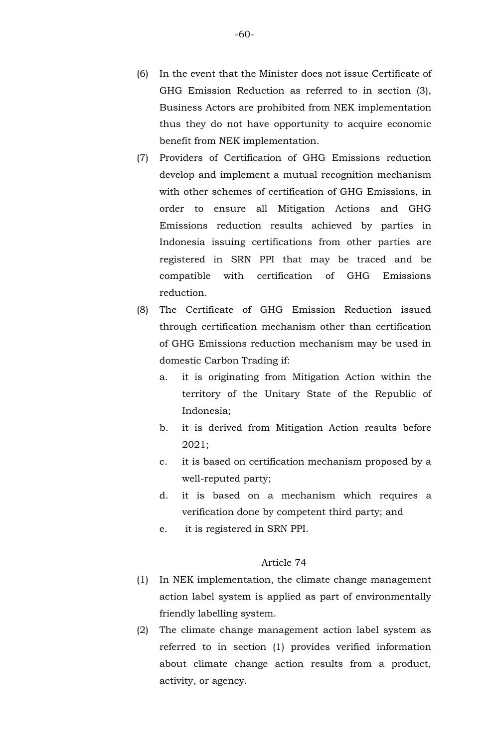- (6) In the event that the Minister does not issue Certificate of GHG Emission Reduction as referred to in section (3), Business Actors are prohibited from NEK implementation thus they do not have opportunity to acquire economic benefit from NEK implementation.
- (7) Providers of Certification of GHG Emissions reduction develop and implement a mutual recognition mechanism with other schemes of certification of GHG Emissions, in order to ensure all Mitigation Actions and GHG Emissions reduction results achieved by parties in Indonesia issuing certifications from other parties are registered in SRN PPI that may be traced and be compatible with certification of GHG Emissions reduction.
- (8) The Certificate of GHG Emission Reduction issued through certification mechanism other than certification of GHG Emissions reduction mechanism may be used in domestic Carbon Trading if:
	- a. it is originating from Mitigation Action within the territory of the Unitary State of the Republic of Indonesia;
	- b. it is derived from Mitigation Action results before 2021;
	- c. it is based on certification mechanism proposed by a well-reputed party;
	- d. it is based on a mechanism which requires a verification done by competent third party; and
	- e. it is registered in SRN PPI.

- (1) In NEK implementation, the climate change management action label system is applied as part of environmentally friendly labelling system.
- (2) The climate change management action label system as referred to in section (1) provides verified information about climate change action results from a product, activity, or agency.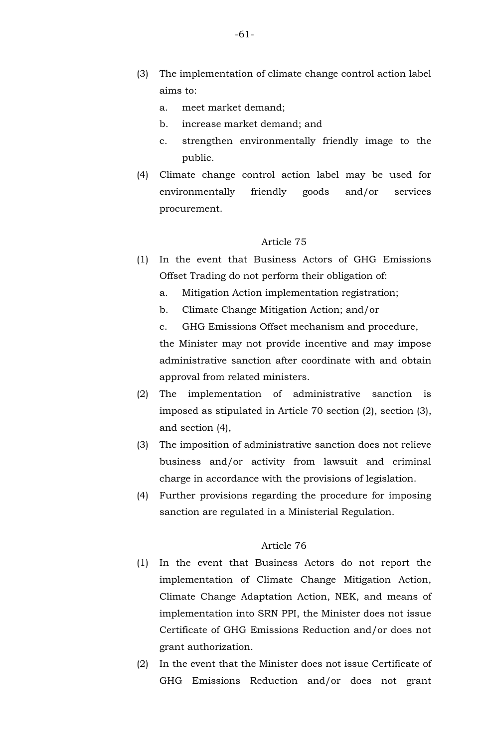- (3) The implementation of climate change control action label aims to:
	- a. meet market demand;
	- b. increase market demand; and
	- c. strengthen environmentally friendly image to the public.
- (4) Climate change control action label may be used for environmentally friendly goods and/or services procurement.

- (1) In the event that Business Actors of GHG Emissions Offset Trading do not perform their obligation of:
	- a. Mitigation Action implementation registration;
	- b. Climate Change Mitigation Action; and/or
	- c. GHG Emissions Offset mechanism and procedure, the Minister may not provide incentive and may impose

administrative sanction after coordinate with and obtain approval from related ministers.

- (2) The implementation of administrative sanction is imposed as stipulated in Article 70 section (2), section (3), and section (4),
- (3) The imposition of administrative sanction does not relieve business and/or activity from lawsuit and criminal charge in accordance with the provisions of legislation.
- (4) Further provisions regarding the procedure for imposing sanction are regulated in a Ministerial Regulation.

- (1) In the event that Business Actors do not report the implementation of Climate Change Mitigation Action, Climate Change Adaptation Action, NEK, and means of implementation into SRN PPI, the Minister does not issue Certificate of GHG Emissions Reduction and/or does not grant authorization.
- (2) In the event that the Minister does not issue Certificate of GHG Emissions Reduction and/or does not grant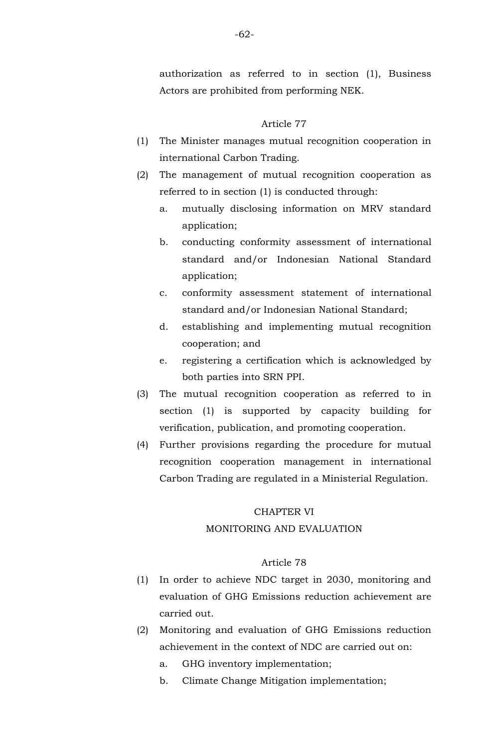authorization as referred to in section (1), Business Actors are prohibited from performing NEK.

#### Article 77

- (1) The Minister manages mutual recognition cooperation in international Carbon Trading.
- (2) The management of mutual recognition cooperation as referred to in section (1) is conducted through:
	- a. mutually disclosing information on MRV standard application;
	- b. conducting conformity assessment of international standard and/or Indonesian National Standard application;
	- c. conformity assessment statement of international standard and/or Indonesian National Standard;
	- d. establishing and implementing mutual recognition cooperation; and
	- e. registering a certification which is acknowledged by both parties into SRN PPI.
- (3) The mutual recognition cooperation as referred to in section (1) is supported by capacity building for verification, publication, and promoting cooperation.
- (4) Further provisions regarding the procedure for mutual recognition cooperation management in international Carbon Trading are regulated in a Ministerial Regulation.

#### CHAPTER VI

### MONITORING AND EVALUATION

- (1) In order to achieve NDC target in 2030, monitoring and evaluation of GHG Emissions reduction achievement are carried out.
- (2) Monitoring and evaluation of GHG Emissions reduction achievement in the context of NDC are carried out on:
	- a. GHG inventory implementation;
	- b. Climate Change Mitigation implementation;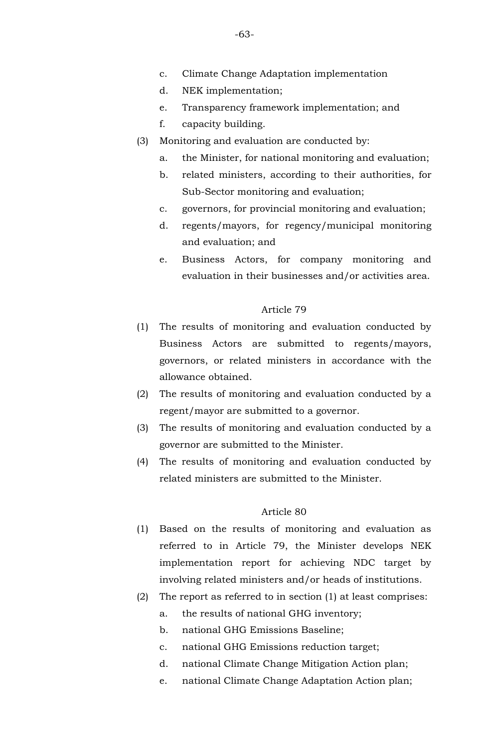- c. Climate Change Adaptation implementation
- d. NEK implementation;
- e. Transparency framework implementation; and
- f. capacity building.
- (3) Monitoring and evaluation are conducted by:
	- a. the Minister, for national monitoring and evaluation;
	- b. related ministers, according to their authorities, for Sub-Sector monitoring and evaluation;
	- c. governors, for provincial monitoring and evaluation;
	- d. regents/mayors, for regency/municipal monitoring and evaluation; and
	- e. Business Actors, for company monitoring and evaluation in their businesses and/or activities area.

- (1) The results of monitoring and evaluation conducted by Business Actors are submitted to regents/mayors, governors, or related ministers in accordance with the allowance obtained.
- (2) The results of monitoring and evaluation conducted by a regent/mayor are submitted to a governor.
- (3) The results of monitoring and evaluation conducted by a governor are submitted to the Minister.
- (4) The results of monitoring and evaluation conducted by related ministers are submitted to the Minister.

- (1) Based on the results of monitoring and evaluation as referred to in Article 79, the Minister develops NEK implementation report for achieving NDC target by involving related ministers and/or heads of institutions.
- (2) The report as referred to in section (1) at least comprises:
	- a. the results of national GHG inventory;
	- b. national GHG Emissions Baseline;
	- c. national GHG Emissions reduction target;
	- d. national Climate Change Mitigation Action plan;
	- e. national Climate Change Adaptation Action plan;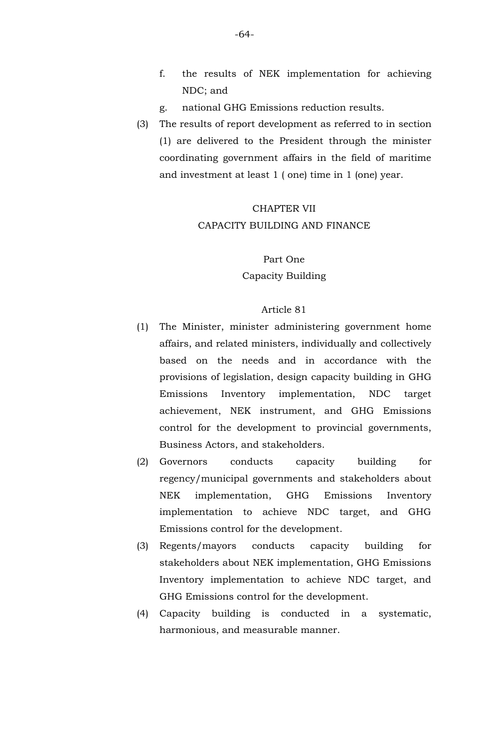- f. the results of NEK implementation for achieving NDC; and
- g. national GHG Emissions reduction results.
- (3) The results of report development as referred to in section (1) are delivered to the President through the minister coordinating government affairs in the field of maritime and investment at least 1 ( one) time in 1 (one) year.

## CHAPTER VII CAPACITY BUILDING AND FINANCE

Part One Capacity Building

- (1) The Minister, minister administering government home affairs, and related ministers, individually and collectively based on the needs and in accordance with the provisions of legislation, design capacity building in GHG Emissions Inventory implementation, NDC target achievement, NEK instrument, and GHG Emissions control for the development to provincial governments, Business Actors, and stakeholders.
- (2) Governors conducts capacity building for regency/municipal governments and stakeholders about NEK implementation, GHG Emissions Inventory implementation to achieve NDC target, and GHG Emissions control for the development.
- (3) Regents/mayors conducts capacity building for stakeholders about NEK implementation, GHG Emissions Inventory implementation to achieve NDC target, and GHG Emissions control for the development.
- (4) Capacity building is conducted in a systematic, harmonious, and measurable manner.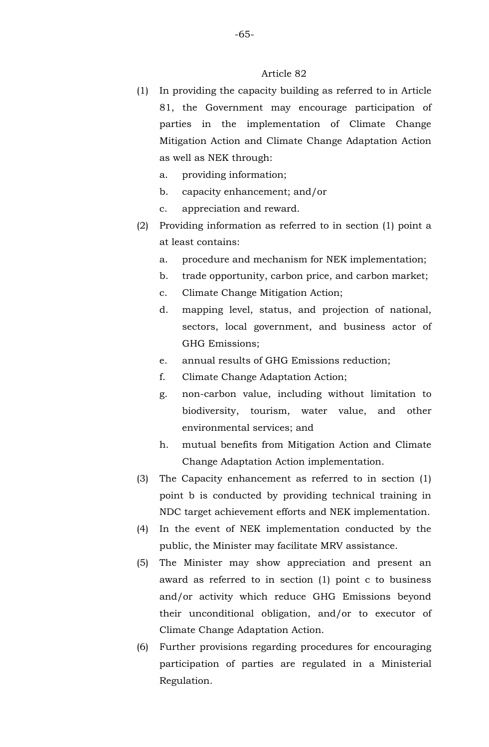- (1) In providing the capacity building as referred to in Article 81, the Government may encourage participation of parties in the implementation of Climate Change Mitigation Action and Climate Change Adaptation Action as well as NEK through:
	- a. providing information;
	- b. capacity enhancement; and/or
	- c. appreciation and reward.
- (2) Providing information as referred to in section (1) point a at least contains:
	- a. procedure and mechanism for NEK implementation;
	- b. trade opportunity, carbon price, and carbon market;
	- c. Climate Change Mitigation Action;
	- d. mapping level, status, and projection of national, sectors, local government, and business actor of GHG Emissions;
	- e. annual results of GHG Emissions reduction;
	- f. Climate Change Adaptation Action;
	- g. non-carbon value, including without limitation to biodiversity, tourism, water value, and other environmental services; and
	- h. mutual benefits from Mitigation Action and Climate Change Adaptation Action implementation.
- (3) The Capacity enhancement as referred to in section (1) point b is conducted by providing technical training in NDC target achievement efforts and NEK implementation.
- (4) In the event of NEK implementation conducted by the public, the Minister may facilitate MRV assistance.
- (5) The Minister may show appreciation and present an award as referred to in section (1) point c to business and/or activity which reduce GHG Emissions beyond their unconditional obligation, and/or to executor of Climate Change Adaptation Action.
- (6) Further provisions regarding procedures for encouraging participation of parties are regulated in a Ministerial Regulation.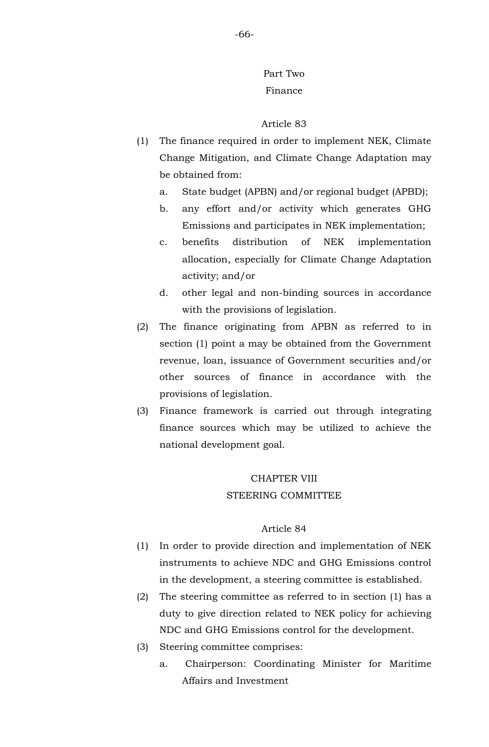# Part Two Finance

#### Article 83

- (1) The finance required in order to implement NEK, Climate Change Mitigation, and Climate Change Adaptation may be obtained from:
	- a. State budget (APBN) and/or regional budget (APBD);
	- b. any effort and/or activity which generates GHG Emissions and participates in NEK implementation;
	- c. benefits distribution of NEK implementation allocation, especially for Climate Change Adaptation activity; and/or
	- d. other legal and non-binding sources in accordance with the provisions of legislation.
- (2) The finance originating from APBN as referred to in section (1) point a may be obtained from the Government revenue, loan, issuance of Government securities and/or other sources of finance in accordance with the provisions of legislation.
- (3) Finance framework is carried out through integrating finance sources which may be utilized to achieve the national development goal.

## CHAPTER VIII STEERING COMMITTEE

- (1) In order to provide direction and implementation of NEK instruments to achieve NDC and GHG Emissions control in the development, a steering committee is established.
- (2) The steering committee as referred to in section (1) has a duty to give direction related to NEK policy for achieving NDC and GHG Emissions control for the development.
- (3) Steering committee comprises:
	- a. Chairperson: Coordinating Minister for Maritime Affairs and Investment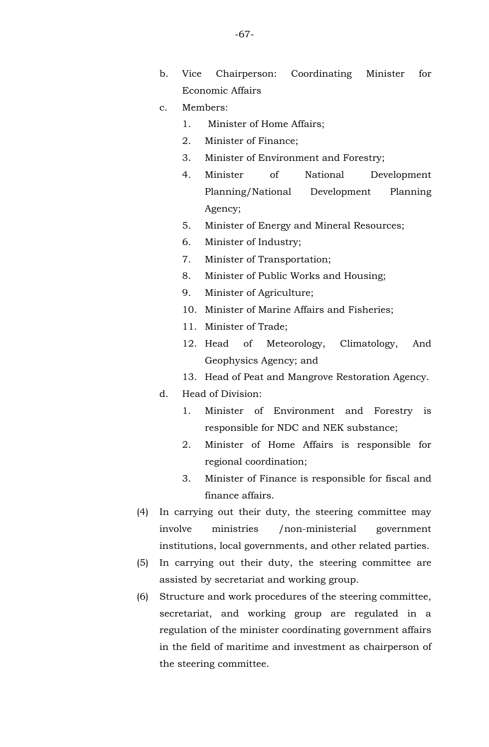- b. Vice Chairperson: Coordinating Minister for Economic Affairs
- c. Members:
	- 1. Minister of Home Affairs;
	- 2. Minister of Finance;
	- 3. Minister of Environment and Forestry;
	- 4. Minister of National Development Planning/National Development Planning Agency;
	- 5. Minister of Energy and Mineral Resources;
	- 6. Minister of Industry;
	- 7. Minister of Transportation;
	- 8. Minister of Public Works and Housing;
	- 9. Minister of Agriculture;
	- 10. Minister of Marine Affairs and Fisheries;
	- 11. Minister of Trade;
	- 12. Head of Meteorology, Climatology, And Geophysics Agency; and
	- 13. Head of Peat and Mangrove Restoration Agency.
- d. Head of Division:
	- 1. Minister of Environment and Forestry is responsible for NDC and NEK substance;
	- 2. Minister of Home Affairs is responsible for regional coordination;
	- 3. Minister of Finance is responsible for fiscal and finance affairs.
- (4) In carrying out their duty, the steering committee may involve ministries /non-ministerial government institutions, local governments, and other related parties.
- (5) In carrying out their duty, the steering committee are assisted by secretariat and working group.
- (6) Structure and work procedures of the steering committee, secretariat, and working group are regulated in a regulation of the minister coordinating government affairs in the field of maritime and investment as chairperson of the steering committee.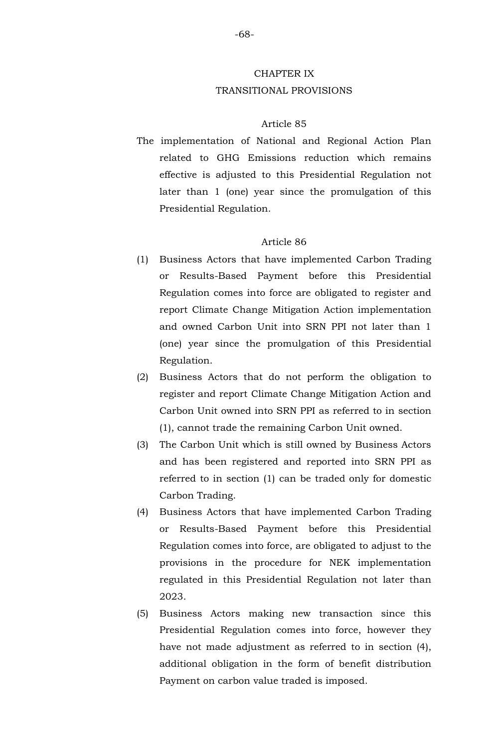## CHAPTER IX TRANSITIONAL PROVISIONS

#### Article 85

The implementation of National and Regional Action Plan related to GHG Emissions reduction which remains effective is adjusted to this Presidential Regulation not later than 1 (one) year since the promulgation of this Presidential Regulation.

- (1) Business Actors that have implemented Carbon Trading or Results-Based Payment before this Presidential Regulation comes into force are obligated to register and report Climate Change Mitigation Action implementation and owned Carbon Unit into SRN PPI not later than 1 (one) year since the promulgation of this Presidential Regulation.
- (2) Business Actors that do not perform the obligation to register and report Climate Change Mitigation Action and Carbon Unit owned into SRN PPI as referred to in section (1), cannot trade the remaining Carbon Unit owned.
- (3) The Carbon Unit which is still owned by Business Actors and has been registered and reported into SRN PPI as referred to in section (1) can be traded only for domestic Carbon Trading.
- (4) Business Actors that have implemented Carbon Trading or Results-Based Payment before this Presidential Regulation comes into force, are obligated to adjust to the provisions in the procedure for NEK implementation regulated in this Presidential Regulation not later than 2023.
- (5) Business Actors making new transaction since this Presidential Regulation comes into force, however they have not made adjustment as referred to in section (4), additional obligation in the form of benefit distribution Payment on carbon value traded is imposed.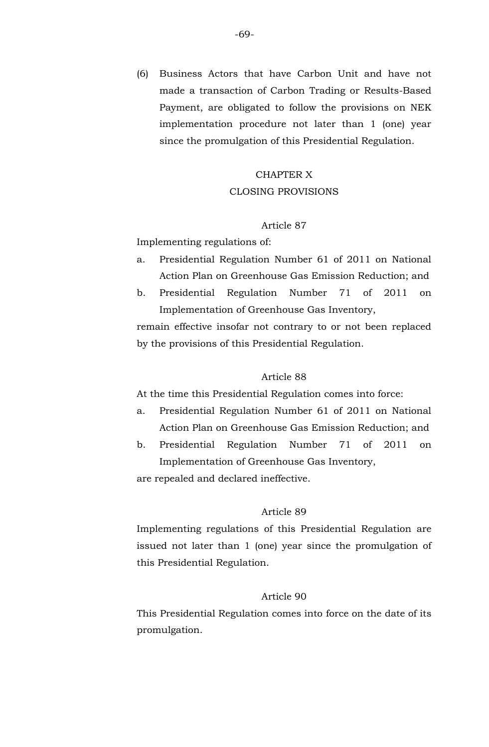(6) Business Actors that have Carbon Unit and have not made a transaction of Carbon Trading or Results-Based Payment, are obligated to follow the provisions on NEK implementation procedure not later than 1 (one) year since the promulgation of this Presidential Regulation.

## CHAPTER X CLOSING PROVISIONS

#### Article 87

Implementing regulations of:

- a. Presidential Regulation Number 61 of 2011 on National Action Plan on Greenhouse Gas Emission Reduction; and
- b. Presidential Regulation Number 71 of 2011 on Implementation of Greenhouse Gas Inventory,

remain effective insofar not contrary to or not been replaced by the provisions of this Presidential Regulation.

#### Article 88

At the time this Presidential Regulation comes into force:

- a. Presidential Regulation Number 61 of 2011 on National Action Plan on Greenhouse Gas Emission Reduction; and
- b. Presidential Regulation Number 71 of 2011 on Implementation of Greenhouse Gas Inventory,

are repealed and declared ineffective.

#### Article 89

Implementing regulations of this Presidential Regulation are issued not later than 1 (one) year since the promulgation of this Presidential Regulation.

## Article 90

This Presidential Regulation comes into force on the date of its promulgation.